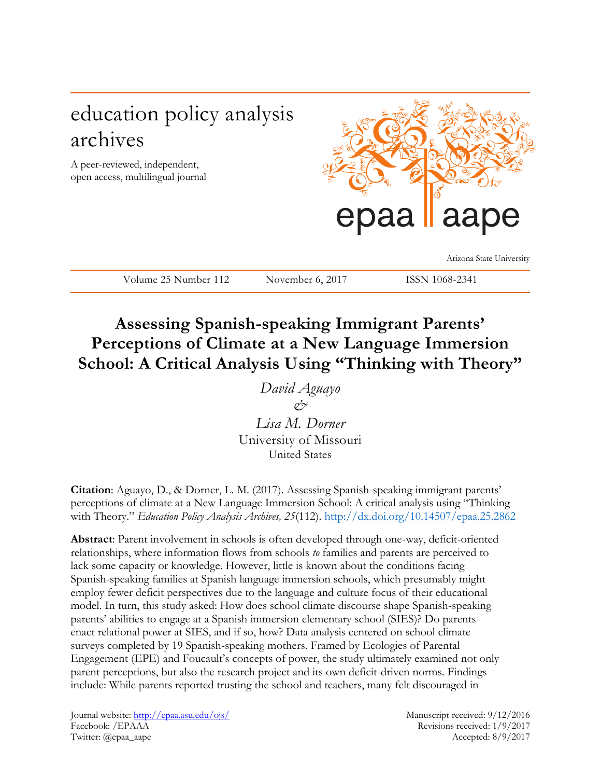# education policy analysis archives

A peer-reviewed, independent, open access, multilingual journal



Arizona State University

Volume 25 Number 112 November 6, 2017 ISSN 1068-2341

# **Assessing Spanish-speaking Immigrant Parents' Perceptions of Climate at a New Language Immersion School: A Critical Analysis Using "Thinking with Theory"**

*David Aguayo &*

*Lisa M. Dorner* University of Missouri United States

**Citation**: Aguayo, D., & Dorner, L. M. (2017). Assessing Spanish-speaking immigrant parents' perceptions of climate at a New Language Immersion School: A critical analysis using "Thinking with Theory." *Education Policy Analysis Archives, 25*(112).<http://dx.doi.org/10.14507/epaa.25.2862>

**Abstract**: Parent involvement in schools is often developed through one-way, deficit-oriented relationships, where information flows from schools *to* families and parents are perceived to lack some capacity or knowledge. However, little is known about the conditions facing Spanish-speaking families at Spanish language immersion schools, which presumably might employ fewer deficit perspectives due to the language and culture focus of their educational model. In turn, this study asked: How does school climate discourse shape Spanish-speaking parents' abilities to engage at a Spanish immersion elementary school (SIES)? Do parents enact relational power at SIES, and if so, how? Data analysis centered on school climate surveys completed by 19 Spanish-speaking mothers. Framed by Ecologies of Parental Engagement (EPE) and Foucault's concepts of power, the study ultimately examined not only parent perceptions, but also the research project and its own deficit-driven norms. Findings include: While parents reported trusting the school and teachers, many felt discouraged in

Journal website:<http://epaa.asu.edu/ojs/> Manuscript received: 9/12/2016 Facebook: /EPAAA Revisions received: 1/9/2017 Twitter: @epaa\_aape Accepted: 8/9/2017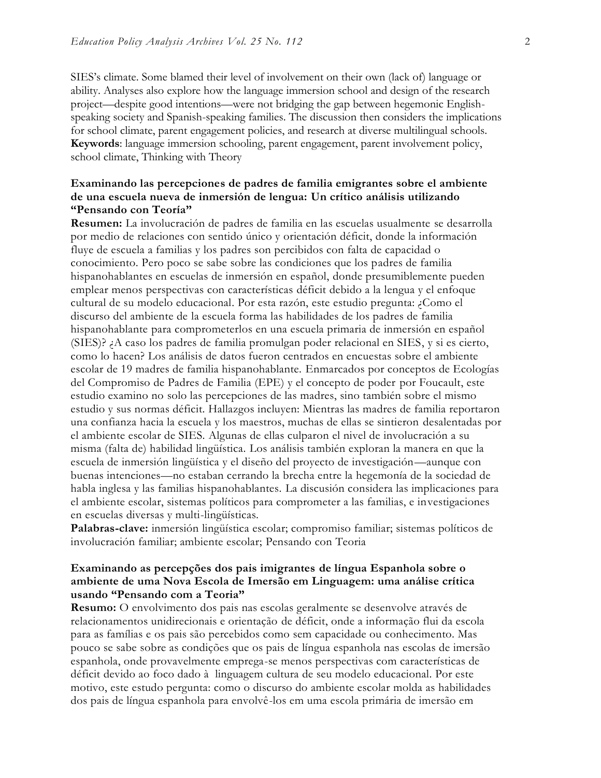SIES's climate. Some blamed their level of involvement on their own (lack of) language or ability. Analyses also explore how the language immersion school and design of the research project—despite good intentions—were not bridging the gap between hegemonic Englishspeaking society and Spanish-speaking families. The discussion then considers the implications for school climate, parent engagement policies, and research at diverse multilingual schools. **Keywords**: language immersion schooling, parent engagement, parent involvement policy, school climate, Thinking with Theory

# **Examinando las percepciones de padres de familia emigrantes sobre el ambiente de una escuela nueva de inmersión de lengua: Un crítico análisis utilizando "Pensando con Teoría"**

**Resumen:** La involucración de padres de familia en las escuelas usualmente se desarrolla por medio de relaciones con sentido único y orientación déficit, donde la información fluye de escuela a familias y los padres son percibidos con falta de capacidad o conocimiento. Pero poco se sabe sobre las condiciones que los padres de familia hispanohablantes en escuelas de inmersión en español, donde presumiblemente pueden emplear menos perspectivas con características déficit debido a la lengua y el enfoque cultural de su modelo educacional. Por esta razón, este estudio pregunta: ¿Como el discurso del ambiente de la escuela forma las habilidades de los padres de familia hispanohablante para comprometerlos en una escuela primaria de inmersión en español (SIES)? ¿A caso los padres de familia promulgan poder relacional en SIES, y si es cierto, como lo hacen? Los análisis de datos fueron centrados en encuestas sobre el ambiente escolar de 19 madres de familia hispanohablante. Enmarcados por conceptos de Ecologías del Compromiso de Padres de Familia (EPE) y el concepto de poder por Foucault, este estudio examino no solo las percepciones de las madres, sino también sobre el mismo estudio y sus normas déficit. Hallazgos incluyen: Mientras las madres de familia reportaron una confianza hacia la escuela y los maestros, muchas de ellas se sintieron desalentadas por el ambiente escolar de SIES. Algunas de ellas culparon el nivel de involucración a su misma (falta de) habilidad lingüística. Los análisis también exploran la manera en que la escuela de inmersión lingüística y el diseño del proyecto de investigación—aunque con buenas intenciones—no estaban cerrando la brecha entre la hegemonía de la sociedad de habla inglesa y las familias hispanohablantes. La discusión considera las implicaciones para el ambiente escolar, sistemas políticos para comprometer a las familias, e investigaciones en escuelas diversas y multi-lingüísticas.

**Palabras-clave:** inmersión lingüística escolar; compromiso familiar; sistemas políticos de involucración familiar; ambiente escolar; Pensando con Teoria

## **Examinando as percepções dos pais imigrantes de língua Espanhola sobre o ambiente de uma Nova Escola de Imersão em Linguagem: uma análise crítica usando "Pensando com a Teoria"**

**Resumo:** O envolvimento dos pais nas escolas geralmente se desenvolve através de relacionamentos unidirecionais e orientação de déficit, onde a informação flui da escola para as famílias e os pais são percebidos como sem capacidade ou conhecimento. Mas pouco se sabe sobre as condições que os pais de língua espanhola nas escolas de imersão espanhola, onde provavelmente emprega-se menos perspectivas com características de déficit devido ao foco dado à linguagem cultura de seu modelo educacional. Por este motivo, este estudo pergunta: como o discurso do ambiente escolar molda as habilidades dos pais de língua espanhola para envolvê-los em uma escola primária de imersão em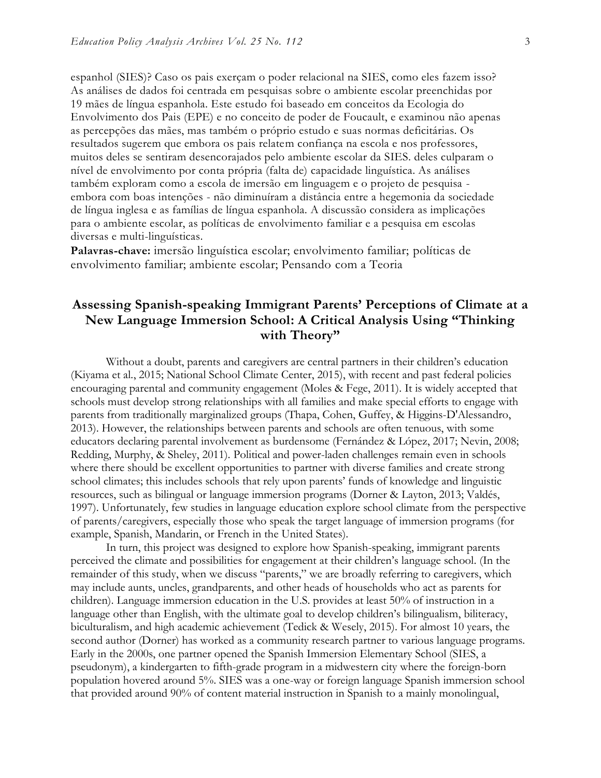espanhol (SIES)? Caso os pais exerçam o poder relacional na SIES, como eles fazem isso? As análises de dados foi centrada em pesquisas sobre o ambiente escolar preenchidas por 19 mães de língua espanhola. Este estudo foi baseado em conceitos da Ecologia do Envolvimento dos Pais (EPE) e no conceito de poder de Foucault, e examinou não apenas as percepções das mães, mas também o próprio estudo e suas normas deficitárias. Os resultados sugerem que embora os pais relatem confiança na escola e nos professores, muitos deles se sentiram desencorajados pelo ambiente escolar da SIES. deles culparam o nível de envolvimento por conta própria (falta de) capacidade linguística. As análises também exploram como a escola de imersão em linguagem e o projeto de pesquisa embora com boas intenções - não diminuíram a distância entre a hegemonia da sociedade de língua inglesa e as famílias de língua espanhola. A discussão considera as implicações para o ambiente escolar, as políticas de envolvimento familiar e a pesquisa em escolas diversas e multi-linguísticas.

**Palavras-chave:** imersão linguística escolar; envolvimento familiar; políticas de envolvimento familiar; ambiente escolar; Pensando com a Teoria

# **Assessing Spanish-speaking Immigrant Parents' Perceptions of Climate at a New Language Immersion School: A Critical Analysis Using "Thinking with Theory"**

Without a doubt, parents and caregivers are central partners in their children's education (Kiyama et al*.*, 2015; National School Climate Center, 2015), with recent and past federal policies encouraging parental and community engagement (Moles & Fege, 2011). It is widely accepted that schools must develop strong relationships with all families and make special efforts to engage with parents from traditionally marginalized groups (Thapa, Cohen, Guffey, & Higgins-D'Alessandro, 2013). However, the relationships between parents and schools are often tenuous, with some educators declaring parental involvement as burdensome (Fernández & López, 2017; Nevin, 2008; Redding, Murphy, & Sheley, 2011). Political and power-laden challenges remain even in schools where there should be excellent opportunities to partner with diverse families and create strong school climates; this includes schools that rely upon parents' funds of knowledge and linguistic resources, such as bilingual or language immersion programs (Dorner & Layton, 2013; Valdés, 1997). Unfortunately, few studies in language education explore school climate from the perspective of parents/caregivers, especially those who speak the target language of immersion programs (for example, Spanish, Mandarin, or French in the United States).

In turn, this project was designed to explore how Spanish-speaking, immigrant parents perceived the climate and possibilities for engagement at their children's language school. (In the remainder of this study, when we discuss "parents," we are broadly referring to caregivers, which may include aunts, uncles, grandparents, and other heads of households who act as parents for children). Language immersion education in the U.S. provides at least 50% of instruction in a language other than English, with the ultimate goal to develop children's bilingualism, biliteracy, biculturalism, and high academic achievement (Tedick & Wesely, 2015). For almost 10 years, the second author (Dorner) has worked as a community research partner to various language programs. Early in the 2000s, one partner opened the Spanish Immersion Elementary School (SIES, a pseudonym), a kindergarten to fifth-grade program in a midwestern city where the foreign-born population hovered around 5%. SIES was a one-way or foreign language Spanish immersion school that provided around 90% of content material instruction in Spanish to a mainly monolingual,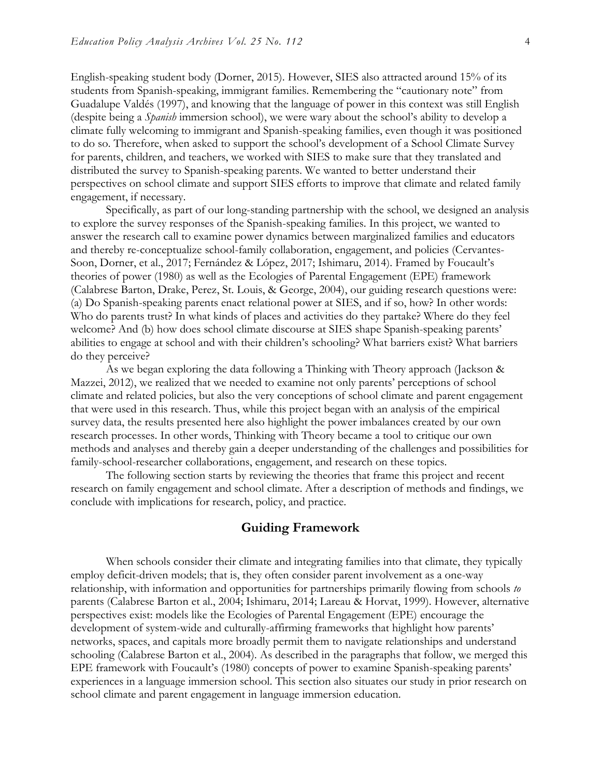English-speaking student body (Dorner, 2015). However, SIES also attracted around 15% of its students from Spanish-speaking, immigrant families. Remembering the "cautionary note" from Guadalupe Valdés (1997), and knowing that the language of power in this context was still English (despite being a *Spanish* immersion school), we were wary about the school's ability to develop a climate fully welcoming to immigrant and Spanish-speaking families, even though it was positioned to do so. Therefore, when asked to support the school's development of a School Climate Survey for parents, children, and teachers, we worked with SIES to make sure that they translated and distributed the survey to Spanish-speaking parents. We wanted to better understand their perspectives on school climate and support SIES efforts to improve that climate and related family engagement, if necessary.

Specifically, as part of our long-standing partnership with the school, we designed an analysis to explore the survey responses of the Spanish-speaking families. In this project, we wanted to answer the research call to examine power dynamics between marginalized families and educators and thereby re-conceptualize school-family collaboration, engagement, and policies (Cervantes-Soon, Dorner, et al., 2017; Fernández & López, 2017; Ishimaru, 2014). Framed by Foucault's theories of power (1980) as well as the Ecologies of Parental Engagement (EPE) framework (Calabrese Barton, Drake, Perez, St. Louis, & George, 2004), our guiding research questions were: (a) Do Spanish-speaking parents enact relational power at SIES, and if so, how? In other words: Who do parents trust? In what kinds of places and activities do they partake? Where do they feel welcome? And (b) how does school climate discourse at SIES shape Spanish-speaking parents' abilities to engage at school and with their children's schooling? What barriers exist? What barriers do they perceive?

As we began exploring the data following a Thinking with Theory approach (Jackson & Mazzei, 2012), we realized that we needed to examine not only parents' perceptions of school climate and related policies, but also the very conceptions of school climate and parent engagement that were used in this research. Thus, while this project began with an analysis of the empirical survey data, the results presented here also highlight the power imbalances created by our own research processes. In other words, Thinking with Theory became a tool to critique our own methods and analyses and thereby gain a deeper understanding of the challenges and possibilities for family-school-researcher collaborations, engagement, and research on these topics.

The following section starts by reviewing the theories that frame this project and recent research on family engagement and school climate. After a description of methods and findings, we conclude with implications for research, policy, and practice.

# **Guiding Framework**

When schools consider their climate and integrating families into that climate, they typically employ deficit-driven models; that is, they often consider parent involvement as a one-way relationship, with information and opportunities for partnerships primarily flowing from schools *to* parents (Calabrese Barton et al., 2004; Ishimaru, 2014; Lareau & Horvat, 1999). However, alternative perspectives exist: models like the Ecologies of Parental Engagement (EPE) encourage the development of system-wide and culturally-affirming frameworks that highlight how parents' networks, spaces, and capitals more broadly permit them to navigate relationships and understand schooling (Calabrese Barton et al., 2004). As described in the paragraphs that follow, we merged this EPE framework with Foucault's (1980) concepts of power to examine Spanish-speaking parents' experiences in a language immersion school. This section also situates our study in prior research on school climate and parent engagement in language immersion education.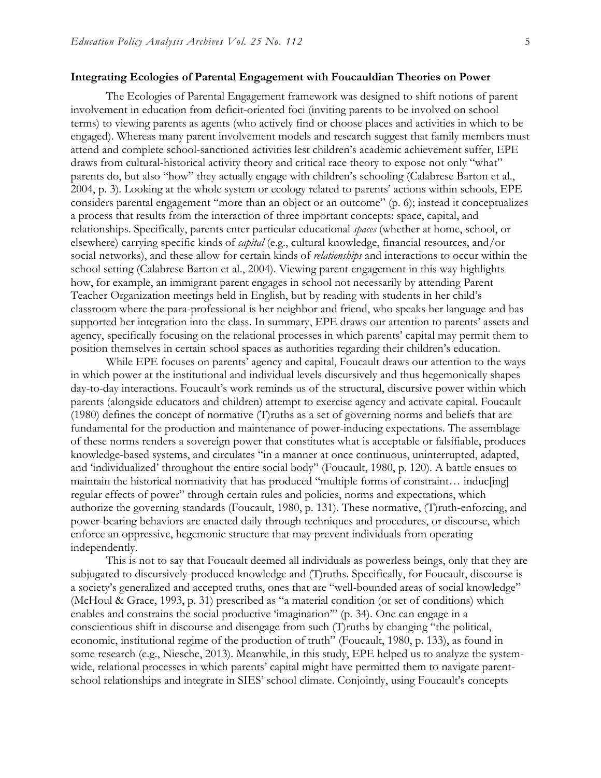#### **Integrating Ecologies of Parental Engagement with Foucauldian Theories on Power**

The Ecologies of Parental Engagement framework was designed to shift notions of parent involvement in education from deficit-oriented foci (inviting parents to be involved on school terms) to viewing parents as agents (who actively find or choose places and activities in which to be engaged). Whereas many parent involvement models and research suggest that family members must attend and complete school-sanctioned activities lest children's academic achievement suffer, EPE draws from cultural-historical activity theory and critical race theory to expose not only "what" parents do, but also "how" they actually engage with children's schooling (Calabrese Barton et al., 2004, p. 3). Looking at the whole system or ecology related to parents' actions within schools, EPE considers parental engagement "more than an object or an outcome" (p. 6); instead it conceptualizes a process that results from the interaction of three important concepts: space, capital, and relationships. Specifically, parents enter particular educational *spaces* (whether at home, school, or elsewhere) carrying specific kinds of *capital* (e.g., cultural knowledge, financial resources, and/or social networks), and these allow for certain kinds of *relationships* and interactions to occur within the school setting (Calabrese Barton et al., 2004). Viewing parent engagement in this way highlights how, for example, an immigrant parent engages in school not necessarily by attending Parent Teacher Organization meetings held in English, but by reading with students in her child's classroom where the para-professional is her neighbor and friend, who speaks her language and has supported her integration into the class. In summary, EPE draws our attention to parents' assets and agency, specifically focusing on the relational processes in which parents' capital may permit them to position themselves in certain school spaces as authorities regarding their children's education.

While EPE focuses on parents' agency and capital, Foucault draws our attention to the ways in which power at the institutional and individual levels discursively and thus hegemonically shapes day-to-day interactions. Foucault's work reminds us of the structural, discursive power within which parents (alongside educators and children) attempt to exercise agency and activate capital. Foucault (1980) defines the concept of normative (T)ruths as a set of governing norms and beliefs that are fundamental for the production and maintenance of power-inducing expectations. The assemblage of these norms renders a sovereign power that constitutes what is acceptable or falsifiable, produces knowledge-based systems, and circulates "in a manner at once continuous, uninterrupted, adapted, and 'individualized' throughout the entire social body" (Foucault, 1980, p. 120). A battle ensues to maintain the historical normativity that has produced "multiple forms of constraint… induc[ing] regular effects of power" through certain rules and policies, norms and expectations, which authorize the governing standards (Foucault, 1980, p. 131). These normative, (T)ruth-enforcing, and power-bearing behaviors are enacted daily through techniques and procedures, or discourse, which enforce an oppressive, hegemonic structure that may prevent individuals from operating independently.

This is not to say that Foucault deemed all individuals as powerless beings, only that they are subjugated to discursively-produced knowledge and (T)ruths. Specifically, for Foucault, discourse is a society's generalized and accepted truths, ones that are "well-bounded areas of social knowledge" (McHoul & Grace, 1993, p. 31) prescribed as "a material condition (or set of conditions) which enables and constrains the social productive 'imagination'" (p. 34). One can engage in a conscientious shift in discourse and disengage from such (T)ruths by changing "the political, economic, institutional regime of the production of truth" (Foucault, 1980, p. 133), as found in some research (e.g., Niesche, 2013). Meanwhile, in this study, EPE helped us to analyze the systemwide, relational processes in which parents' capital might have permitted them to navigate parentschool relationships and integrate in SIES' school climate. Conjointly, using Foucault's concepts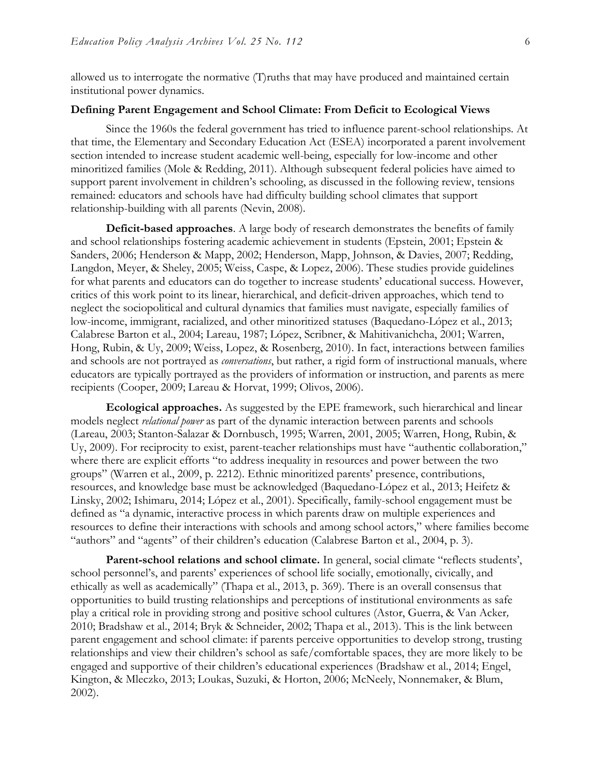allowed us to interrogate the normative (T)ruths that may have produced and maintained certain institutional power dynamics.

## **Defining Parent Engagement and School Climate: From Deficit to Ecological Views**

Since the 1960s the federal government has tried to influence parent-school relationships. At that time, the Elementary and Secondary Education Act (ESEA) incorporated a parent involvement section intended to increase student academic well-being, especially for low-income and other minoritized families (Mole & Redding, 2011). Although subsequent federal policies have aimed to support parent involvement in children's schooling, as discussed in the following review, tensions remained: educators and schools have had difficulty building school climates that support relationship-building with all parents (Nevin, 2008).

**Deficit-based approaches**. A large body of research demonstrates the benefits of family and school relationships fostering academic achievement in students (Epstein, 2001; Epstein & Sanders, 2006; Henderson & Mapp, 2002; Henderson, Mapp, Johnson, & Davies, 2007; Redding, Langdon, Meyer, & Sheley, 2005; Weiss, Caspe, & Lopez, 2006). These studies provide guidelines for what parents and educators can do together to increase students' educational success. However, critics of this work point to its linear, hierarchical, and deficit-driven approaches, which tend to neglect the sociopolitical and cultural dynamics that families must navigate, especially families of low-income, immigrant, racialized, and other minoritized statuses (Baquedano-López et al., 2013; Calabrese Barton et al., 2004; Lareau, 1987; López, Scribner, & Mahitivanichcha, 2001; Warren, Hong, Rubin, & Uy, 2009; Weiss, Lopez, & Rosenberg, 2010). In fact, interactions between families and schools are not portrayed as *conversations*, but rather, a rigid form of instructional manuals, where educators are typically portrayed as the providers of information or instruction, and parents as mere recipients (Cooper, 2009; Lareau & Horvat, 1999; Olivos, 2006).

**Ecological approaches.** As suggested by the EPE framework, such hierarchical and linear models neglect *relational power* as part of the dynamic interaction between parents and schools (Lareau, 2003; Stanton-Salazar & Dornbusch, 1995; Warren, 2001, 2005; Warren, Hong, Rubin, & Uy, 2009). For reciprocity to exist, parent-teacher relationships must have "authentic collaboration," where there are explicit efforts "to address inequality in resources and power between the two groups" (Warren et al., 2009, p. 2212). Ethnic minoritized parents' presence, contributions, resources, and knowledge base must be acknowledged (Baquedano-López et al., 2013; Heifetz & Linsky, 2002; Ishimaru, 2014; López et al., 2001). Specifically, family-school engagement must be defined as "a dynamic, interactive process in which parents draw on multiple experiences and resources to define their interactions with schools and among school actors," where families become "authors" and "agents" of their children's education (Calabrese Barton et al., 2004, p. 3).

Parent-school relations and school climate. In general, social climate "reflects students', school personnel's, and parents' experiences of school life socially, emotionally, civically, and ethically as well as academically" (Thapa et al., 2013, p. 369). There is an overall consensus that opportunities to build trusting relationships and perceptions of institutional environments as safe play a critical role in providing strong and positive school cultures (Astor, Guerra, & Van Acker*,*  2010; Bradshaw et al., 2014; Bryk & Schneider, 2002; Thapa et al., 2013). This is the link between parent engagement and school climate: if parents perceive opportunities to develop strong, trusting relationships and view their children's school as safe/comfortable spaces, they are more likely to be engaged and supportive of their children's educational experiences (Bradshaw et al., 2014; Engel, Kington, & Mleczko, 2013; Loukas, Suzuki, & Horton, 2006; McNeely, Nonnemaker, & Blum, 2002).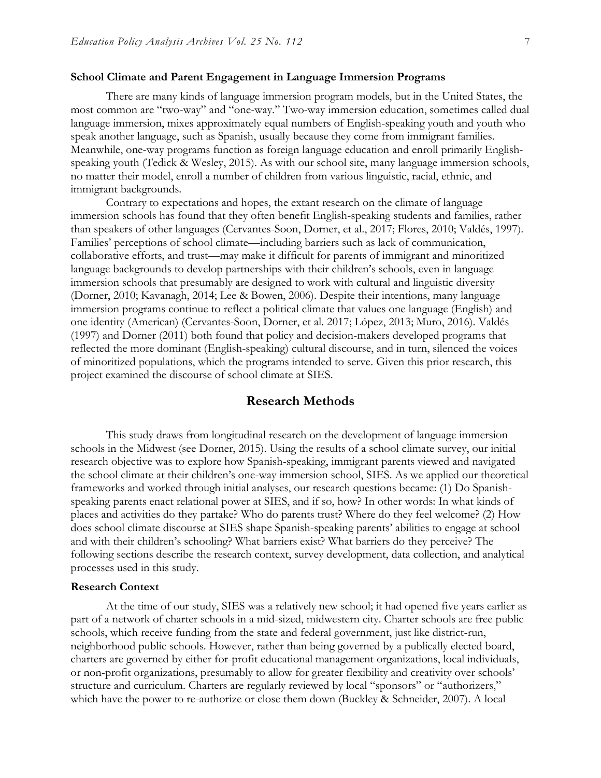#### **School Climate and Parent Engagement in Language Immersion Programs**

There are many kinds of language immersion program models, but in the United States, the most common are "two-way" and "one-way." Two-way immersion education, sometimes called dual language immersion, mixes approximately equal numbers of English-speaking youth and youth who speak another language, such as Spanish, usually because they come from immigrant families. Meanwhile, one-way programs function as foreign language education and enroll primarily Englishspeaking youth (Tedick & Wesley, 2015). As with our school site, many language immersion schools, no matter their model, enroll a number of children from various linguistic, racial, ethnic, and immigrant backgrounds.

Contrary to expectations and hopes, the extant research on the climate of language immersion schools has found that they often benefit English-speaking students and families, rather than speakers of other languages (Cervantes-Soon, Dorner, et al., 2017; Flores, 2010; Valdés, 1997). Families' perceptions of school climate—including barriers such as lack of communication, collaborative efforts, and trust—may make it difficult for parents of immigrant and minoritized language backgrounds to develop partnerships with their children's schools, even in language immersion schools that presumably are designed to work with cultural and linguistic diversity (Dorner, 2010; Kavanagh, 2014; Lee & Bowen, 2006). Despite their intentions, many language immersion programs continue to reflect a political climate that values one language (English) and one identity (American) (Cervantes-Soon, Dorner, et al. 2017; López, 2013; Muro, 2016). Valdés (1997) and Dorner (2011) both found that policy and decision-makers developed programs that reflected the more dominant (English-speaking) cultural discourse, and in turn, silenced the voices of minoritized populations, which the programs intended to serve. Given this prior research, this project examined the discourse of school climate at SIES.

## **Research Methods**

This study draws from longitudinal research on the development of language immersion schools in the Midwest (see Dorner, 2015). Using the results of a school climate survey, our initial research objective was to explore how Spanish-speaking, immigrant parents viewed and navigated the school climate at their children's one-way immersion school, SIES. As we applied our theoretical frameworks and worked through initial analyses, our research questions became: (1) Do Spanishspeaking parents enact relational power at SIES, and if so, how? In other words: In what kinds of places and activities do they partake? Who do parents trust? Where do they feel welcome? (2) How does school climate discourse at SIES shape Spanish-speaking parents' abilities to engage at school and with their children's schooling? What barriers exist? What barriers do they perceive? The following sections describe the research context, survey development, data collection, and analytical processes used in this study.

#### **Research Context**

At the time of our study, SIES was a relatively new school; it had opened five years earlier as part of a network of charter schools in a mid-sized, midwestern city. Charter schools are free public schools, which receive funding from the state and federal government, just like district-run, neighborhood public schools. However, rather than being governed by a publically elected board, charters are governed by either for-profit educational management organizations, local individuals, or non-profit organizations, presumably to allow for greater flexibility and creativity over schools' structure and curriculum. Charters are regularly reviewed by local "sponsors" or "authorizers," which have the power to re-authorize or close them down (Buckley & Schneider, 2007). A local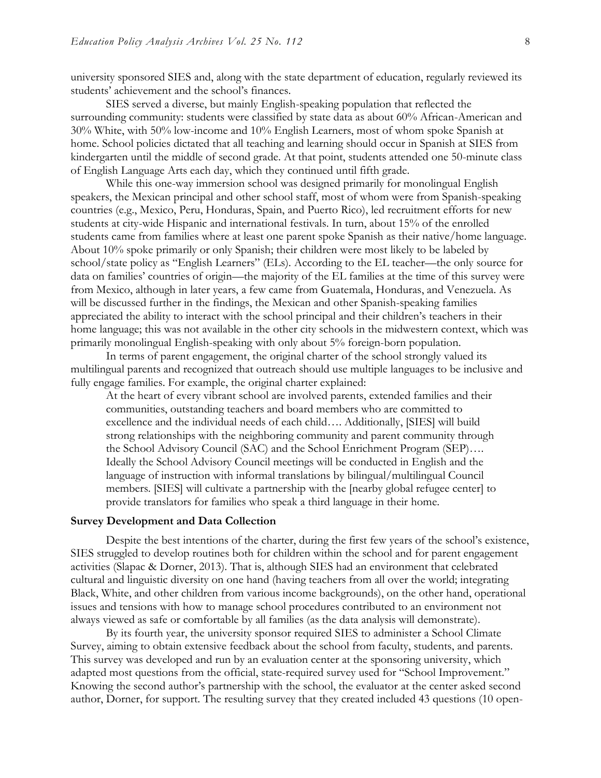university sponsored SIES and, along with the state department of education, regularly reviewed its students' achievement and the school's finances.

SIES served a diverse, but mainly English-speaking population that reflected the surrounding community: students were classified by state data as about 60% African-American and 30% White, with 50% low-income and 10% English Learners, most of whom spoke Spanish at home. School policies dictated that all teaching and learning should occur in Spanish at SIES from kindergarten until the middle of second grade. At that point, students attended one 50-minute class of English Language Arts each day, which they continued until fifth grade.

While this one-way immersion school was designed primarily for monolingual English speakers, the Mexican principal and other school staff, most of whom were from Spanish-speaking countries (e.g., Mexico, Peru, Honduras, Spain, and Puerto Rico), led recruitment efforts for new students at city-wide Hispanic and international festivals. In turn, about 15% of the enrolled students came from families where at least one parent spoke Spanish as their native/home language. About 10% spoke primarily or only Spanish; their children were most likely to be labeled by school/state policy as "English Learners" (ELs). According to the EL teacher—the only source for data on families' countries of origin—the majority of the EL families at the time of this survey were from Mexico, although in later years, a few came from Guatemala, Honduras, and Venezuela. As will be discussed further in the findings, the Mexican and other Spanish-speaking families appreciated the ability to interact with the school principal and their children's teachers in their home language; this was not available in the other city schools in the midwestern context, which was primarily monolingual English-speaking with only about 5% foreign-born population.

In terms of parent engagement, the original charter of the school strongly valued its multilingual parents and recognized that outreach should use multiple languages to be inclusive and fully engage families. For example, the original charter explained:

At the heart of every vibrant school are involved parents, extended families and their communities, outstanding teachers and board members who are committed to excellence and the individual needs of each child…. Additionally, [SIES] will build strong relationships with the neighboring community and parent community through the School Advisory Council (SAC) and the School Enrichment Program (SEP)…. Ideally the School Advisory Council meetings will be conducted in English and the language of instruction with informal translations by bilingual/multilingual Council members. [SIES] will cultivate a partnership with the [nearby global refugee center] to provide translators for families who speak a third language in their home.

#### **Survey Development and Data Collection**

Despite the best intentions of the charter, during the first few years of the school's existence, SIES struggled to develop routines both for children within the school and for parent engagement activities (Slapac & Dorner, 2013). That is, although SIES had an environment that celebrated cultural and linguistic diversity on one hand (having teachers from all over the world; integrating Black, White, and other children from various income backgrounds), on the other hand, operational issues and tensions with how to manage school procedures contributed to an environment not always viewed as safe or comfortable by all families (as the data analysis will demonstrate).

By its fourth year, the university sponsor required SIES to administer a School Climate Survey, aiming to obtain extensive feedback about the school from faculty, students, and parents. This survey was developed and run by an evaluation center at the sponsoring university, which adapted most questions from the official, state-required survey used for "School Improvement." Knowing the second author's partnership with the school, the evaluator at the center asked second author, Dorner, for support. The resulting survey that they created included 43 questions (10 open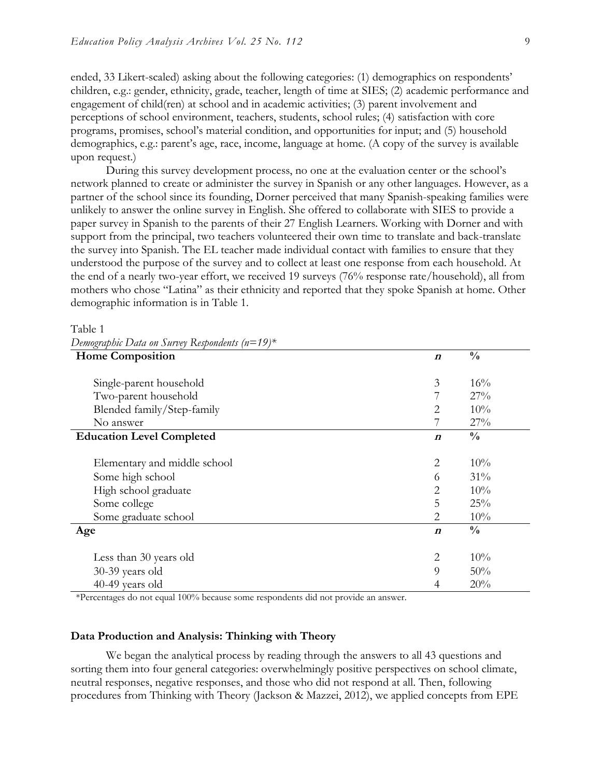ended, 33 Likert-scaled) asking about the following categories: (1) demographics on respondents' children, e.g.: gender, ethnicity, grade, teacher, length of time at SIES; (2) academic performance and engagement of child(ren) at school and in academic activities; (3) parent involvement and perceptions of school environment, teachers, students, school rules; (4) satisfaction with core programs, promises, school's material condition, and opportunities for input; and (5) household demographics, e.g.: parent's age, race, income, language at home. (A copy of the survey is available upon request.)

During this survey development process, no one at the evaluation center or the school's network planned to create or administer the survey in Spanish or any other languages. However, as a partner of the school since its founding, Dorner perceived that many Spanish-speaking families were unlikely to answer the online survey in English. She offered to collaborate with SIES to provide a paper survey in Spanish to the parents of their 27 English Learners. Working with Dorner and with support from the principal, two teachers volunteered their own time to translate and back-translate the survey into Spanish. The EL teacher made individual contact with families to ensure that they understood the purpose of the survey and to collect at least one response from each household. At the end of a nearly two-year effort, we received 19 surveys (76% response rate/household), all from mothers who chose "Latina" as their ethnicity and reported that they spoke Spanish at home. Other demographic information is in Table 1.

Table 1

| <b>Home Composition</b>          | $\boldsymbol{n}$ | $\frac{0}{0}$ |
|----------------------------------|------------------|---------------|
| Single-parent household          | 3                | 16%           |
| Two-parent household             |                  | 27%           |
| Blended family/Step-family       | 2                | 10%           |
| No answer                        |                  | 27%           |
| <b>Education Level Completed</b> | $\boldsymbol{n}$ | $\frac{0}{0}$ |
|                                  |                  |               |
| Elementary and middle school     | $\overline{2}$   | 10%           |
| Some high school                 | 6                | 31%           |
| High school graduate             | $\overline{2}$   | 10%           |
| Some college                     | 5                | 25%           |
| Some graduate school             | 2                | 10%           |
| Age                              | $\boldsymbol{n}$ | $\frac{0}{0}$ |
|                                  |                  |               |
| Less than 30 years old           | $\overline{2}$   | 10%           |
| $30-39$ years old                | 9                | 50%           |
| 40-49 years old                  | 4                | 20%           |

| Demographic Data on Survey Respondents ( $n=19$ )* |  |  |
|----------------------------------------------------|--|--|
|                                                    |  |  |
|                                                    |  |  |

\*Percentages do not equal 100% because some respondents did not provide an answer.

#### **Data Production and Analysis: Thinking with Theory**

We began the analytical process by reading through the answers to all 43 questions and sorting them into four general categories: overwhelmingly positive perspectives on school climate, neutral responses, negative responses, and those who did not respond at all. Then, following procedures from Thinking with Theory (Jackson & Mazzei, 2012), we applied concepts from EPE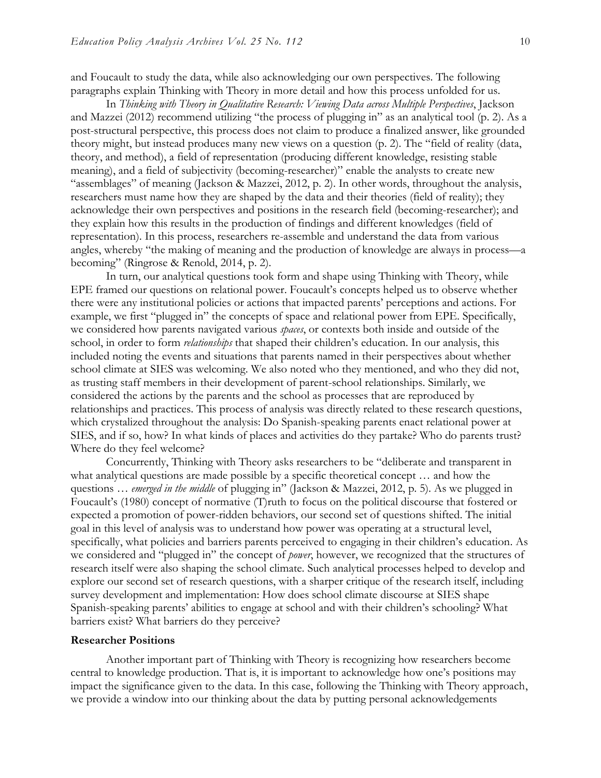and Foucault to study the data, while also acknowledging our own perspectives. The following paragraphs explain Thinking with Theory in more detail and how this process unfolded for us.

In *Thinking with Theory in Qualitative Research: Viewing Data across Multiple Perspectives*, Jackson and Mazzei (2012) recommend utilizing "the process of plugging in" as an analytical tool (p. 2). As a post-structural perspective, this process does not claim to produce a finalized answer, like grounded theory might, but instead produces many new views on a question (p. 2). The "field of reality (data, theory, and method), a field of representation (producing different knowledge, resisting stable meaning), and a field of subjectivity (becoming-researcher)" enable the analysts to create new "assemblages" of meaning (Jackson & Mazzei, 2012, p. 2). In other words, throughout the analysis, researchers must name how they are shaped by the data and their theories (field of reality); they acknowledge their own perspectives and positions in the research field (becoming-researcher); and they explain how this results in the production of findings and different knowledges (field of representation). In this process, researchers re-assemble and understand the data from various angles, whereby "the making of meaning and the production of knowledge are always in process––a becoming" (Ringrose & Renold, 2014, p. 2).

In turn, our analytical questions took form and shape using Thinking with Theory, while EPE framed our questions on relational power. Foucault's concepts helped us to observe whether there were any institutional policies or actions that impacted parents' perceptions and actions. For example, we first "plugged in" the concepts of space and relational power from EPE. Specifically, we considered how parents navigated various *spaces*, or contexts both inside and outside of the school, in order to form *relationships* that shaped their children's education. In our analysis, this included noting the events and situations that parents named in their perspectives about whether school climate at SIES was welcoming. We also noted who they mentioned, and who they did not, as trusting staff members in their development of parent-school relationships. Similarly, we considered the actions by the parents and the school as processes that are reproduced by relationships and practices. This process of analysis was directly related to these research questions, which crystalized throughout the analysis: Do Spanish-speaking parents enact relational power at SIES, and if so, how? In what kinds of places and activities do they partake? Who do parents trust? Where do they feel welcome?

Concurrently, Thinking with Theory asks researchers to be "deliberate and transparent in what analytical questions are made possible by a specific theoretical concept ... and how the questions … *emerged in the middle* of plugging in" (Jackson & Mazzei, 2012, p. 5). As we plugged in Foucault's (1980) concept of normative (T)ruth to focus on the political discourse that fostered or expected a promotion of power-ridden behaviors, our second set of questions shifted. The initial goal in this level of analysis was to understand how power was operating at a structural level, specifically, what policies and barriers parents perceived to engaging in their children's education. As we considered and "plugged in" the concept of *power*, however, we recognized that the structures of research itself were also shaping the school climate. Such analytical processes helped to develop and explore our second set of research questions, with a sharper critique of the research itself, including survey development and implementation: How does school climate discourse at SIES shape Spanish-speaking parents' abilities to engage at school and with their children's schooling? What barriers exist? What barriers do they perceive?

#### **Researcher Positions**

Another important part of Thinking with Theory is recognizing how researchers become central to knowledge production. That is, it is important to acknowledge how one's positions may impact the significance given to the data. In this case, following the Thinking with Theory approach, we provide a window into our thinking about the data by putting personal acknowledgements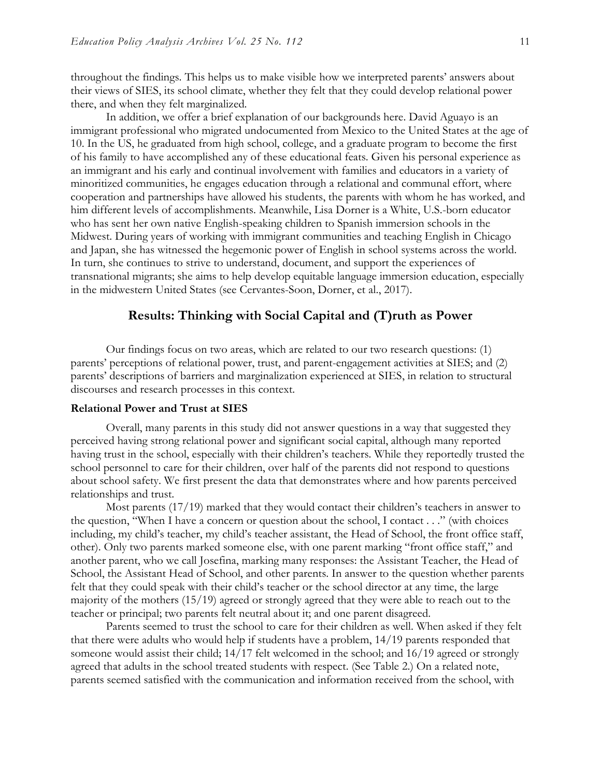throughout the findings. This helps us to make visible how we interpreted parents' answers about their views of SIES, its school climate, whether they felt that they could develop relational power there, and when they felt marginalized.

In addition, we offer a brief explanation of our backgrounds here. David Aguayo is an immigrant professional who migrated undocumented from Mexico to the United States at the age of 10. In the US, he graduated from high school, college, and a graduate program to become the first of his family to have accomplished any of these educational feats. Given his personal experience as an immigrant and his early and continual involvement with families and educators in a variety of minoritized communities, he engages education through a relational and communal effort, where cooperation and partnerships have allowed his students, the parents with whom he has worked, and him different levels of accomplishments. Meanwhile, Lisa Dorner is a White, U.S.-born educator who has sent her own native English-speaking children to Spanish immersion schools in the Midwest. During years of working with immigrant communities and teaching English in Chicago and Japan, she has witnessed the hegemonic power of English in school systems across the world. In turn, she continues to strive to understand, document, and support the experiences of transnational migrants; she aims to help develop equitable language immersion education, especially in the midwestern United States (see Cervantes-Soon, Dorner, et al., 2017).

## **Results: Thinking with Social Capital and (T)ruth as Power**

Our findings focus on two areas, which are related to our two research questions: (1) parents' perceptions of relational power, trust, and parent-engagement activities at SIES; and (2) parents' descriptions of barriers and marginalization experienced at SIES, in relation to structural discourses and research processes in this context.

#### **Relational Power and Trust at SIES**

Overall, many parents in this study did not answer questions in a way that suggested they perceived having strong relational power and significant social capital, although many reported having trust in the school, especially with their children's teachers. While they reportedly trusted the school personnel to care for their children, over half of the parents did not respond to questions about school safety. We first present the data that demonstrates where and how parents perceived relationships and trust.

Most parents (17/19) marked that they would contact their children's teachers in answer to the question, "When I have a concern or question about the school, I contact . . ." (with choices including, my child's teacher, my child's teacher assistant, the Head of School, the front office staff, other). Only two parents marked someone else, with one parent marking "front office staff," and another parent, who we call Josefina, marking many responses: the Assistant Teacher, the Head of School, the Assistant Head of School, and other parents. In answer to the question whether parents felt that they could speak with their child's teacher or the school director at any time, the large majority of the mothers (15/19) agreed or strongly agreed that they were able to reach out to the teacher or principal; two parents felt neutral about it; and one parent disagreed.

Parents seemed to trust the school to care for their children as well. When asked if they felt that there were adults who would help if students have a problem, 14/19 parents responded that someone would assist their child; 14/17 felt welcomed in the school; and 16/19 agreed or strongly agreed that adults in the school treated students with respect. (See Table 2.) On a related note, parents seemed satisfied with the communication and information received from the school, with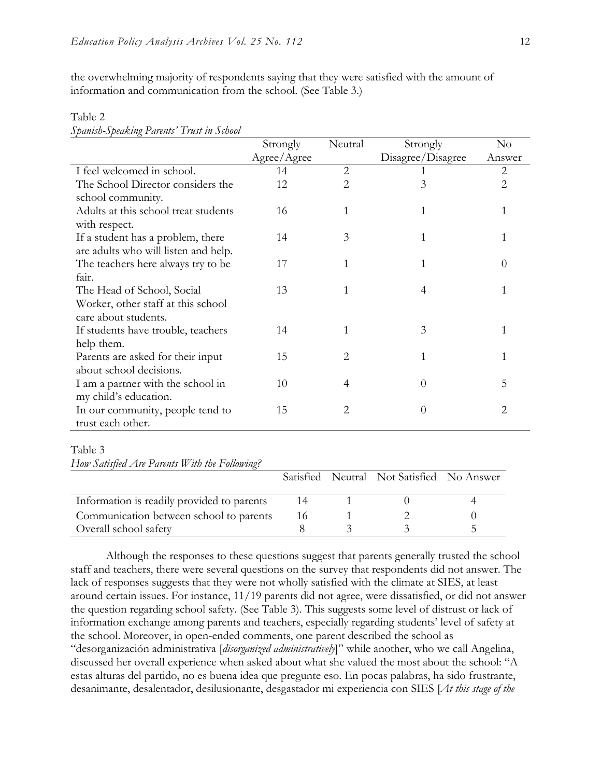the overwhelming majority of respondents saying that they were satisfied with the amount of information and communication from the school. (See Table 3.)

|                                      | Strongly    | Neutral        | Strongly          | $\rm No$       |
|--------------------------------------|-------------|----------------|-------------------|----------------|
|                                      | Agree/Agree |                | Disagree/Disagree | Answer         |
| I feel welcomed in school.           | 14          | $\overline{2}$ |                   | $\overline{2}$ |
| The School Director considers the    | 12          | 2              | 3                 | 2              |
| school community.                    |             |                |                   |                |
| Adults at this school treat students | 16          |                | 1                 |                |
| with respect.                        |             |                |                   |                |
| If a student has a problem, there    | 14          | 3              | 1                 |                |
| are adults who will listen and help. |             |                |                   |                |
| The teachers here always try to be   | 17          |                | 1                 | $\theta$       |
| fair.                                |             |                |                   |                |
| The Head of School, Social           | 13          | 1              | 4                 |                |
| Worker, other staff at this school   |             |                |                   |                |
| care about students.                 |             |                |                   |                |
| If students have trouble, teachers   | 14          | 1              | 3                 |                |
| help them.                           |             |                |                   |                |
| Parents are asked for their input    | 15          | 2              | 1                 |                |
| about school decisions.              |             |                |                   |                |
| I am a partner with the school in    | 10          | 4              | $\theta$          | 5              |
| my child's education.                |             |                |                   |                |
| In our community, people tend to     | 15          | 2              | $\theta$          | 2              |
| trust each other.                    |             |                |                   |                |

# Table 2

*Spanish-Speaking Parents' Trust in School*

#### Table 3

*How Satisfied Are Parents With the Following?*

|                                            |  | Satisfied Neutral Not Satisfied No Answer |  |
|--------------------------------------------|--|-------------------------------------------|--|
|                                            |  |                                           |  |
| Information is readily provided to parents |  |                                           |  |
| Communication between school to parents    |  |                                           |  |
| Overall school safety                      |  |                                           |  |

Although the responses to these questions suggest that parents generally trusted the school staff and teachers, there were several questions on the survey that respondents did not answer. The lack of responses suggests that they were not wholly satisfied with the climate at SIES, at least around certain issues. For instance, 11/19 parents did not agree, were dissatisfied, or did not answer the question regarding school safety. (See Table 3). This suggests some level of distrust or lack of information exchange among parents and teachers, especially regarding students' level of safety at the school. Moreover, in open-ended comments, one parent described the school as "desorganización administrativa [*disorganized administratively*]" while another, who we call Angelina, discussed her overall experience when asked about what she valued the most about the school: "A estas alturas del partido, no es buena idea que pregunte eso. En pocas palabras, ha sido frustrante, desanimante, desalentador, desilusionante, desgastador mi experiencia con SIES [*At this stage of the*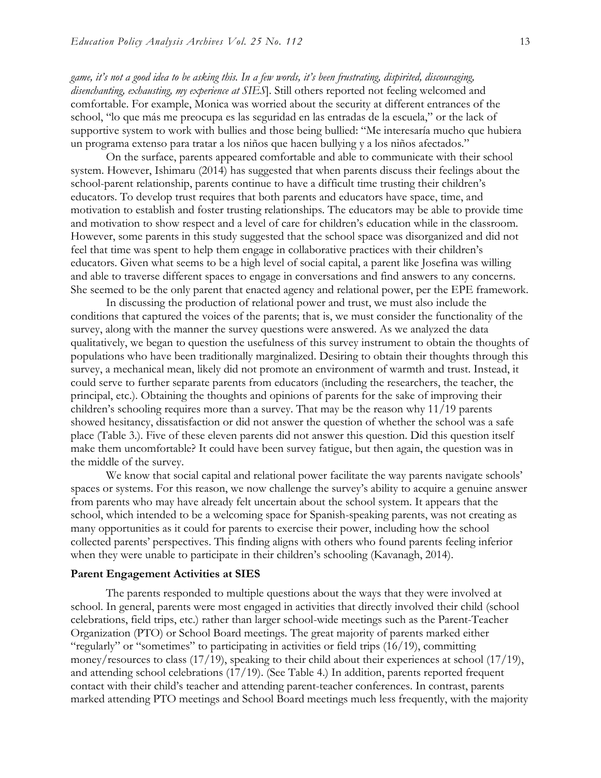*game, it's not a good idea to be asking this. In a few words, it's been frustrating, dispirited, discouraging, disenchanting, exhausting, my experience at SIES*]. Still others reported not feeling welcomed and comfortable. For example, Monica was worried about the security at different entrances of the school, "lo que más me preocupa es las seguridad en las entradas de la escuela," or the lack of supportive system to work with bullies and those being bullied: "Me interesaría mucho que hubiera un programa extenso para tratar a los niños que hacen bullying y a los niños afectados."

On the surface, parents appeared comfortable and able to communicate with their school system. However, Ishimaru (2014) has suggested that when parents discuss their feelings about the school-parent relationship, parents continue to have a difficult time trusting their children's educators. To develop trust requires that both parents and educators have space, time, and motivation to establish and foster trusting relationships. The educators may be able to provide time and motivation to show respect and a level of care for children's education while in the classroom. However, some parents in this study suggested that the school space was disorganized and did not feel that time was spent to help them engage in collaborative practices with their children's educators. Given what seems to be a high level of social capital, a parent like Josefina was willing and able to traverse different spaces to engage in conversations and find answers to any concerns. She seemed to be the only parent that enacted agency and relational power, per the EPE framework.

In discussing the production of relational power and trust, we must also include the conditions that captured the voices of the parents; that is, we must consider the functionality of the survey, along with the manner the survey questions were answered. As we analyzed the data qualitatively, we began to question the usefulness of this survey instrument to obtain the thoughts of populations who have been traditionally marginalized. Desiring to obtain their thoughts through this survey, a mechanical mean, likely did not promote an environment of warmth and trust. Instead, it could serve to further separate parents from educators (including the researchers, the teacher, the principal, etc.). Obtaining the thoughts and opinions of parents for the sake of improving their children's schooling requires more than a survey. That may be the reason why 11/19 parents showed hesitancy, dissatisfaction or did not answer the question of whether the school was a safe place (Table 3.). Five of these eleven parents did not answer this question. Did this question itself make them uncomfortable? It could have been survey fatigue, but then again, the question was in the middle of the survey.

We know that social capital and relational power facilitate the way parents navigate schools' spaces or systems. For this reason, we now challenge the survey's ability to acquire a genuine answer from parents who may have already felt uncertain about the school system. It appears that the school, which intended to be a welcoming space for Spanish-speaking parents, was not creating as many opportunities as it could for parents to exercise their power, including how the school collected parents' perspectives. This finding aligns with others who found parents feeling inferior when they were unable to participate in their children's schooling (Kavanagh, 2014).

#### **Parent Engagement Activities at SIES**

The parents responded to multiple questions about the ways that they were involved at school. In general, parents were most engaged in activities that directly involved their child (school celebrations, field trips, etc.) rather than larger school-wide meetings such as the Parent-Teacher Organization (PTO) or School Board meetings. The great majority of parents marked either "regularly" or "sometimes" to participating in activities or field trips (16/19), committing money/resources to class (17/19), speaking to their child about their experiences at school (17/19), and attending school celebrations (17/19). (See Table 4.) In addition, parents reported frequent contact with their child's teacher and attending parent-teacher conferences. In contrast, parents marked attending PTO meetings and School Board meetings much less frequently, with the majority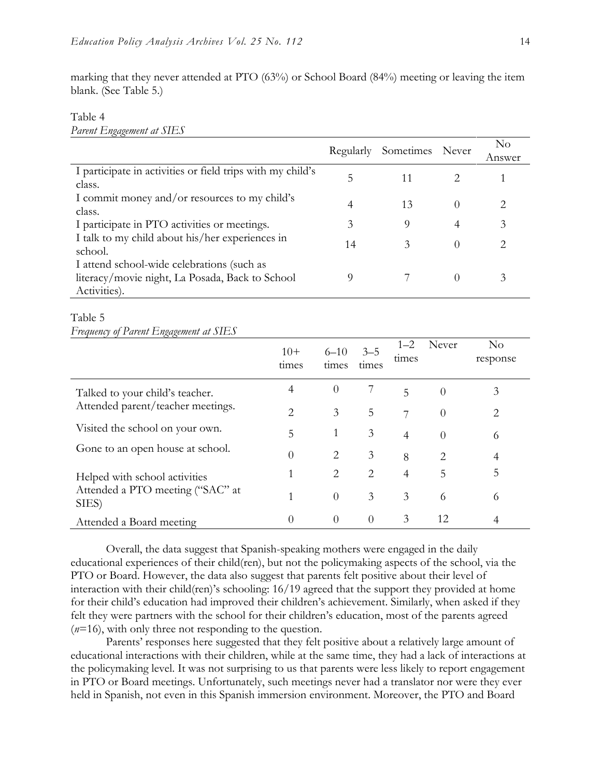marking that they never attended at PTO (63%) or School Board (84%) meeting or leaving the item blank. (See Table 5.)

#### Table 4 *Parent Engagement at SIES*

|                                                                                                               | Regularly | Sometimes Never |                  | $\rm No$<br>Answer |
|---------------------------------------------------------------------------------------------------------------|-----------|-----------------|------------------|--------------------|
| I participate in activities or field trips with my child's<br>class.                                          | 5         | 11              |                  |                    |
| I commit money and/or resources to my child's<br>class.                                                       | 4         | 13              | $\left( \right)$ |                    |
| I participate in PTO activities or meetings.                                                                  | 3         | 9               | 4                | 3                  |
| I talk to my child about his/her experiences in<br>school.                                                    | 14        | 3               | $\left( \right)$ |                    |
| I attend school-wide celebrations (such as<br>literacy/movie night, La Posada, Back to School<br>Activities). |           |                 | $\left( \right)$ | 3                  |

#### Table 5

*Frequency of Parent Engagement at SIES*

|                                           | $10+$<br>times | $6 - 10$<br>times           | $3 - 5$<br>times            | $1 - 2$<br>times | Never          | $\rm No$<br>response |
|-------------------------------------------|----------------|-----------------------------|-----------------------------|------------------|----------------|----------------------|
| Talked to your child's teacher.           | 4              | $\theta$                    |                             | 5                | $\theta$       | 3                    |
| Attended parent/teacher meetings.         | 2              | 3                           | 5                           | 7                | $\theta$       | 2                    |
| Visited the school on your own.           | 5              | 1                           | 3                           | $\overline{4}$   | $\overline{0}$ | 6                    |
| Gone to an open house at school.          | $\Omega$       | 2                           | 3                           | 8                | $\overline{2}$ | 4                    |
| Helped with school activities             | 1              | $\mathcal{D}_{\mathcal{L}}$ | $\mathcal{D}_{\mathcal{L}}$ | $\overline{4}$   | 5              | 5                    |
| Attended a PTO meeting ("SAC" at<br>SIES) | 1              | $\Omega$                    | 3                           | 3                | 6              | 6                    |
| Attended a Board meeting                  | $\Omega$       | $\Omega$                    | $\Omega$                    | 3                | 12             | 4                    |

Overall, the data suggest that Spanish-speaking mothers were engaged in the daily educational experiences of their child(ren), but not the policymaking aspects of the school, via the PTO or Board. However, the data also suggest that parents felt positive about their level of interaction with their child(ren)'s schooling: 16/19 agreed that the support they provided at home for their child's education had improved their children's achievement. Similarly, when asked if they felt they were partners with the school for their children's education, most of the parents agreed (*n*=16), with only three not responding to the question.

Parents' responses here suggested that they felt positive about a relatively large amount of educational interactions with their children, while at the same time, they had a lack of interactions at the policymaking level. It was not surprising to us that parents were less likely to report engagement in PTO or Board meetings. Unfortunately, such meetings never had a translator nor were they ever held in Spanish, not even in this Spanish immersion environment. Moreover, the PTO and Board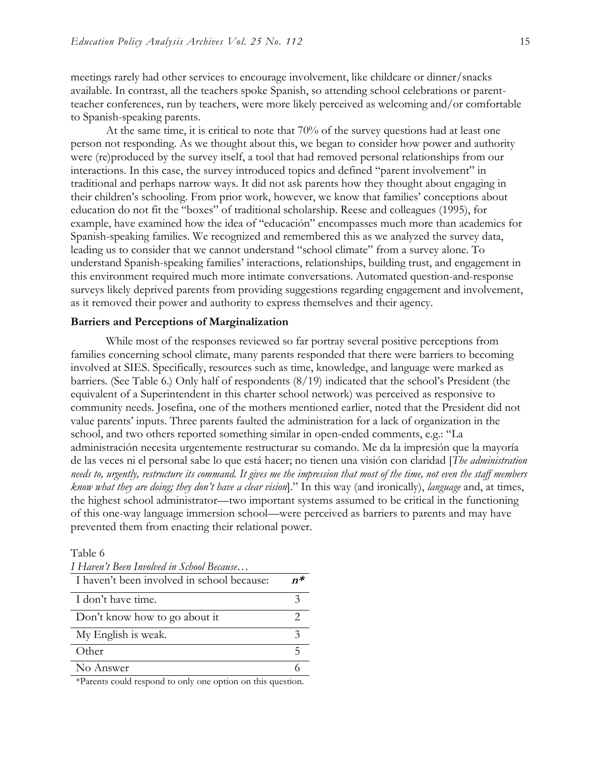meetings rarely had other services to encourage involvement, like childcare or dinner/snacks available. In contrast, all the teachers spoke Spanish, so attending school celebrations or parentteacher conferences, run by teachers, were more likely perceived as welcoming and/or comfortable to Spanish-speaking parents.

At the same time, it is critical to note that 70% of the survey questions had at least one person not responding. As we thought about this, we began to consider how power and authority were (re)produced by the survey itself, a tool that had removed personal relationships from our interactions. In this case, the survey introduced topics and defined "parent involvement" in traditional and perhaps narrow ways. It did not ask parents how they thought about engaging in their children's schooling. From prior work, however, we know that families' conceptions about education do not fit the "boxes" of traditional scholarship. Reese and colleagues (1995), for example, have examined how the idea of "educación" encompasses much more than academics for Spanish-speaking families. We recognized and remembered this as we analyzed the survey data, leading us to consider that we cannot understand "school climate" from a survey alone. To understand Spanish-speaking families' interactions, relationships, building trust, and engagement in this environment required much more intimate conversations. Automated question-and-response surveys likely deprived parents from providing suggestions regarding engagement and involvement, as it removed their power and authority to express themselves and their agency.

#### **Barriers and Perceptions of Marginalization**

While most of the responses reviewed so far portray several positive perceptions from families concerning school climate, many parents responded that there were barriers to becoming involved at SIES. Specifically, resources such as time, knowledge, and language were marked as barriers. (See Table 6.) Only half of respondents (8/19) indicated that the school's President (the equivalent of a Superintendent in this charter school network) was perceived as responsive to community needs. Josefina, one of the mothers mentioned earlier, noted that the President did not value parents' inputs. Three parents faulted the administration for a lack of organization in the school, and two others reported something similar in open-ended comments, e.g.: "La administración necesita urgentemente restructurar su comando. Me da la impresión que la mayoría de las veces ni el personal sabe lo que está hacer; no tienen una visión con claridad [*The administration needs to, urgently, restructure its command. It gives me the impression that most of the time, not even the staff members know what they are doing; they don't have a clear vision*]." In this way (and ironically), *language* and, at times, the highest school administrator—two important systems assumed to be critical in the functioning of this one-way language immersion school—were perceived as barriers to parents and may have prevented them from enacting their relational power.

#### Table 6

| I Haven't Been Involved in School Because  |    |
|--------------------------------------------|----|
| I haven't been involved in school because: | n* |
| I don't have time.                         |    |
| Don't know how to go about it              |    |
| My English is weak.                        |    |
| Other                                      |    |
| No Answer                                  |    |

\*Parents could respond to only one option on this question.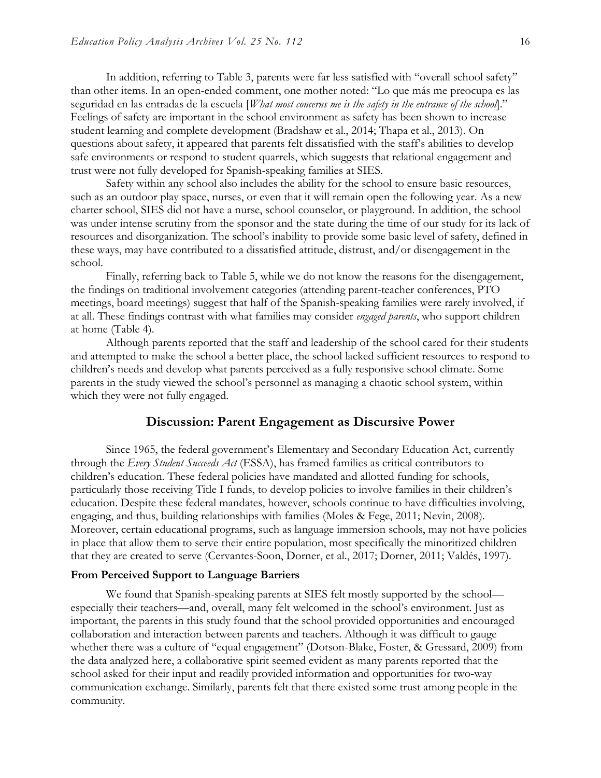In addition, referring to Table 3, parents were far less satisfied with "overall school safety" than other items. In an open-ended comment, one mother noted: "Lo que más me preocupa es las seguridad en las entradas de la escuela [*What most concerns me is the safety in the entrance of the school*]." Feelings of safety are important in the school environment as safety has been shown to increase student learning and complete development (Bradshaw et al., 2014; Thapa et al., 2013). On questions about safety, it appeared that parents felt dissatisfied with the staff's abilities to develop safe environments or respond to student quarrels, which suggests that relational engagement and trust were not fully developed for Spanish-speaking families at SIES.

Safety within any school also includes the ability for the school to ensure basic resources, such as an outdoor play space, nurses, or even that it will remain open the following year. As a new charter school, SIES did not have a nurse, school counselor, or playground. In addition, the school was under intense scrutiny from the sponsor and the state during the time of our study for its lack of resources and disorganization. The school's inability to provide some basic level of safety, defined in these ways, may have contributed to a dissatisfied attitude, distrust, and/or disengagement in the school.

Finally, referring back to Table 5, while we do not know the reasons for the disengagement, the findings on traditional involvement categories (attending parent-teacher conferences, PTO meetings, board meetings) suggest that half of the Spanish-speaking families were rarely involved, if at all. These findings contrast with what families may consider *engaged parents*, who support children at home (Table 4).

Although parents reported that the staff and leadership of the school cared for their students and attempted to make the school a better place, the school lacked sufficient resources to respond to children's needs and develop what parents perceived as a fully responsive school climate. Some parents in the study viewed the school's personnel as managing a chaotic school system, within which they were not fully engaged.

# **Discussion: Parent Engagement as Discursive Power**

Since 1965, the federal government's Elementary and Secondary Education Act, currently through the *Every Student Succeeds Act* (ESSA), has framed families as critical contributors to children's education. These federal policies have mandated and allotted funding for schools, particularly those receiving Title I funds, to develop policies to involve families in their children's education. Despite these federal mandates, however, schools continue to have difficulties involving, engaging, and thus, building relationships with families (Moles & Fege, 2011; Nevin, 2008). Moreover, certain educational programs, such as language immersion schools, may not have policies in place that allow them to serve their entire population, most specifically the minoritized children that they are created to serve (Cervantes-Soon, Dorner, et al., 2017; Dorner, 2011; Valdés, 1997).

#### **From Perceived Support to Language Barriers**

We found that Spanish-speaking parents at SIES felt mostly supported by the school especially their teachers—and, overall, many felt welcomed in the school's environment. Just as important, the parents in this study found that the school provided opportunities and encouraged collaboration and interaction between parents and teachers. Although it was difficult to gauge whether there was a culture of "equal engagement" (Dotson-Blake, Foster, & Gressard, 2009) from the data analyzed here, a collaborative spirit seemed evident as many parents reported that the school asked for their input and readily provided information and opportunities for two-way communication exchange. Similarly, parents felt that there existed some trust among people in the community.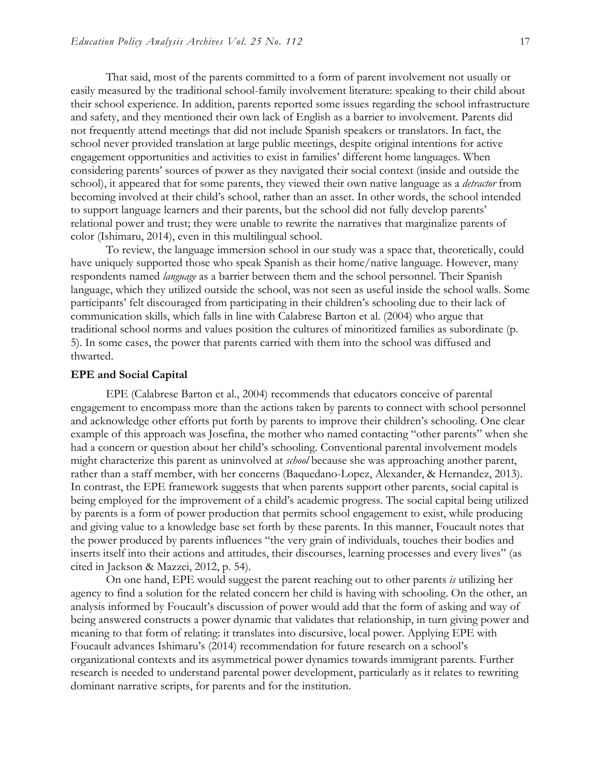That said, most of the parents committed to a form of parent involvement not usually or easily measured by the traditional school-family involvement literature: speaking to their child about their school experience. In addition, parents reported some issues regarding the school infrastructure and safety, and they mentioned their own lack of English as a barrier to involvement. Parents did not frequently attend meetings that did not include Spanish speakers or translators. In fact, the school never provided translation at large public meetings, despite original intentions for active engagement opportunities and activities to exist in families' different home languages. When considering parents' sources of power as they navigated their social context (inside and outside the school), it appeared that for some parents, they viewed their own native language as a *detractor* from becoming involved at their child's school, rather than an asset. In other words, the school intended to support language learners and their parents, but the school did not fully develop parents' relational power and trust; they were unable to rewrite the narratives that marginalize parents of color (Ishimaru, 2014), even in this multilingual school.

To review, the language immersion school in our study was a space that, theoretically, could have uniquely supported those who speak Spanish as their home/native language. However, many respondents named *language* as a barrier between them and the school personnel. Their Spanish language, which they utilized outside the school, was not seen as useful inside the school walls. Some participants' felt discouraged from participating in their children's schooling due to their lack of communication skills, which falls in line with Calabrese Barton et al. (2004) who argue that traditional school norms and values position the cultures of minoritized families as subordinate (p. 5). In some cases, the power that parents carried with them into the school was diffused and thwarted.

#### **EPE and Social Capital**

EPE (Calabrese Barton et al., 2004) recommends that educators conceive of parental engagement to encompass more than the actions taken by parents to connect with school personnel and acknowledge other efforts put forth by parents to improve their children's schooling. One clear example of this approach was Josefina, the mother who named contacting "other parents" when she had a concern or question about her child's schooling. Conventional parental involvement models might characterize this parent as uninvolved at *school* because she was approaching another parent, rather than a staff member, with her concerns (Baquedano-Lopez, Alexander, & Hernandez, 2013). In contrast, the EPE framework suggests that when parents support other parents, social capital is being employed for the improvement of a child's academic progress. The social capital being utilized by parents is a form of power production that permits school engagement to exist, while producing and giving value to a knowledge base set forth by these parents. In this manner, Foucault notes that the power produced by parents influences "the very grain of individuals, touches their bodies and inserts itself into their actions and attitudes, their discourses, learning processes and every lives" (as cited in Jackson & Mazzei, 2012, p. 54).

On one hand, EPE would suggest the parent reaching out to other parents *is* utilizing her agency to find a solution for the related concern her child is having with schooling. On the other, an analysis informed by Foucault's discussion of power would add that the form of asking and way of being answered constructs a power dynamic that validates that relationship, in turn giving power and meaning to that form of relating: it translates into discursive, local power. Applying EPE with Foucault advances Ishimaru's (2014) recommendation for future research on a school's organizational contexts and its asymmetrical power dynamics towards immigrant parents. Further research is needed to understand parental power development, particularly as it relates to rewriting dominant narrative scripts, for parents and for the institution.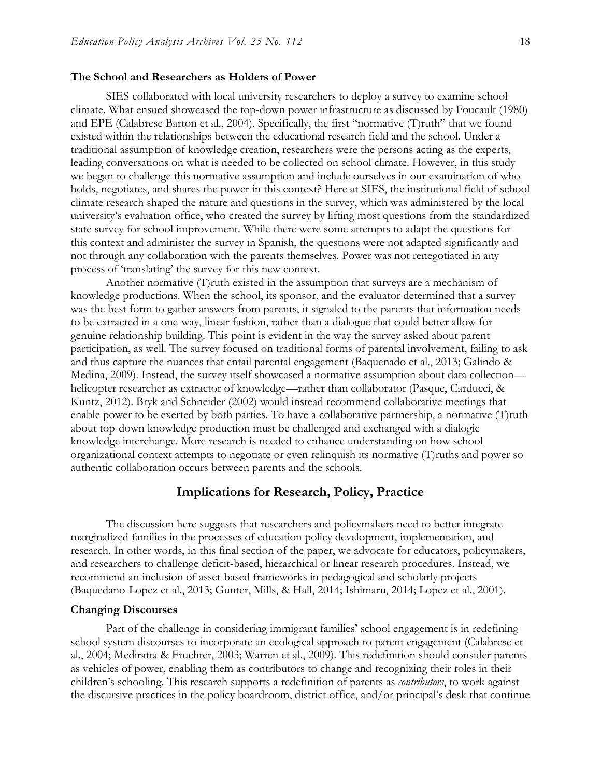#### **The School and Researchers as Holders of Power**

SIES collaborated with local university researchers to deploy a survey to examine school climate. What ensued showcased the top-down power infrastructure as discussed by Foucault (1980) and EPE (Calabrese Barton et al., 2004). Specifically, the first "normative (T)ruth" that we found existed within the relationships between the educational research field and the school. Under a traditional assumption of knowledge creation, researchers were the persons acting as the experts, leading conversations on what is needed to be collected on school climate. However, in this study we began to challenge this normative assumption and include ourselves in our examination of who holds, negotiates, and shares the power in this context? Here at SIES, the institutional field of school climate research shaped the nature and questions in the survey, which was administered by the local university's evaluation office, who created the survey by lifting most questions from the standardized state survey for school improvement. While there were some attempts to adapt the questions for this context and administer the survey in Spanish, the questions were not adapted significantly and not through any collaboration with the parents themselves. Power was not renegotiated in any process of 'translating' the survey for this new context.

Another normative (T)ruth existed in the assumption that surveys are a mechanism of knowledge productions. When the school, its sponsor, and the evaluator determined that a survey was the best form to gather answers from parents, it signaled to the parents that information needs to be extracted in a one-way, linear fashion, rather than a dialogue that could better allow for genuine relationship building. This point is evident in the way the survey asked about parent participation, as well. The survey focused on traditional forms of parental involvement, failing to ask and thus capture the nuances that entail parental engagement (Baquenado et al., 2013; Galindo & Medina, 2009). Instead, the survey itself showcased a normative assumption about data collection helicopter researcher as extractor of knowledge—rather than collaborator (Pasque, Carducci, & Kuntz, 2012). Bryk and Schneider (2002) would instead recommend collaborative meetings that enable power to be exerted by both parties. To have a collaborative partnership, a normative (T) ruth about top-down knowledge production must be challenged and exchanged with a dialogic knowledge interchange. More research is needed to enhance understanding on how school organizational context attempts to negotiate or even relinquish its normative (T)ruths and power so authentic collaboration occurs between parents and the schools.

### **Implications for Research, Policy, Practice**

The discussion here suggests that researchers and policymakers need to better integrate marginalized families in the processes of education policy development, implementation, and research. In other words, in this final section of the paper, we advocate for educators, policymakers, and researchers to challenge deficit-based, hierarchical or linear research procedures. Instead, we recommend an inclusion of asset-based frameworks in pedagogical and scholarly projects (Baquedano-Lopez et al., 2013; Gunter, Mills, & Hall, 2014; Ishimaru, 2014; Lopez et al., 2001).

#### **Changing Discourses**

Part of the challenge in considering immigrant families' school engagement is in redefining school system discourses to incorporate an ecological approach to parent engagement (Calabrese et al., 2004; Mediratta & Fruchter, 2003; Warren et al., 2009). This redefinition should consider parents as vehicles of power, enabling them as contributors to change and recognizing their roles in their children's schooling. This research supports a redefinition of parents as *contributors*, to work against the discursive practices in the policy boardroom, district office, and/or principal's desk that continue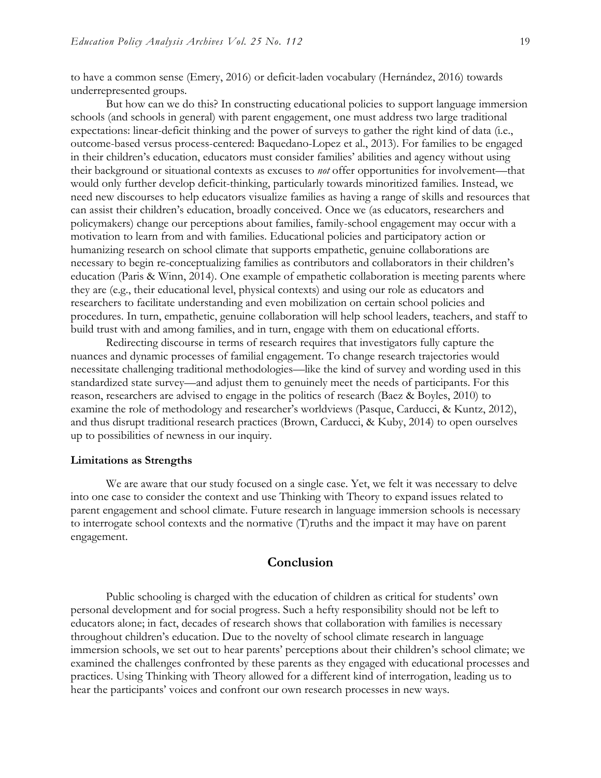to have a common sense (Emery, 2016) or deficit-laden vocabulary (Hernández, 2016) towards underrepresented groups.

But how can we do this? In constructing educational policies to support language immersion schools (and schools in general) with parent engagement, one must address two large traditional expectations: linear-deficit thinking and the power of surveys to gather the right kind of data (i.e., outcome-based versus process-centered: Baquedano-Lopez et al., 2013). For families to be engaged in their children's education, educators must consider families' abilities and agency without using their background or situational contexts as excuses to *not* offer opportunities for involvement—that would only further develop deficit-thinking, particularly towards minoritized families. Instead, we need new discourses to help educators visualize families as having a range of skills and resources that can assist their children's education, broadly conceived. Once we (as educators, researchers and policymakers) change our perceptions about families, family-school engagement may occur with a motivation to learn from and with families. Educational policies and participatory action or humanizing research on school climate that supports empathetic, genuine collaborations are necessary to begin re-conceptualizing families as contributors and collaborators in their children's education (Paris & Winn, 2014). One example of empathetic collaboration is meeting parents where they are (e.g., their educational level, physical contexts) and using our role as educators and researchers to facilitate understanding and even mobilization on certain school policies and procedures. In turn, empathetic, genuine collaboration will help school leaders, teachers, and staff to build trust with and among families, and in turn, engage with them on educational efforts.

Redirecting discourse in terms of research requires that investigators fully capture the nuances and dynamic processes of familial engagement. To change research trajectories would necessitate challenging traditional methodologies—like the kind of survey and wording used in this standardized state survey—and adjust them to genuinely meet the needs of participants. For this reason, researchers are advised to engage in the politics of research (Baez & Boyles, 2010) to examine the role of methodology and researcher's worldviews (Pasque, Carducci, & Kuntz, 2012), and thus disrupt traditional research practices (Brown, Carducci, & Kuby, 2014) to open ourselves up to possibilities of newness in our inquiry.

#### **Limitations as Strengths**

We are aware that our study focused on a single case. Yet, we felt it was necessary to delve into one case to consider the context and use Thinking with Theory to expand issues related to parent engagement and school climate. Future research in language immersion schools is necessary to interrogate school contexts and the normative (T)ruths and the impact it may have on parent engagement.

# **Conclusion**

Public schooling is charged with the education of children as critical for students' own personal development and for social progress. Such a hefty responsibility should not be left to educators alone; in fact, decades of research shows that collaboration with families is necessary throughout children's education. Due to the novelty of school climate research in language immersion schools, we set out to hear parents' perceptions about their children's school climate; we examined the challenges confronted by these parents as they engaged with educational processes and practices. Using Thinking with Theory allowed for a different kind of interrogation, leading us to hear the participants' voices and confront our own research processes in new ways.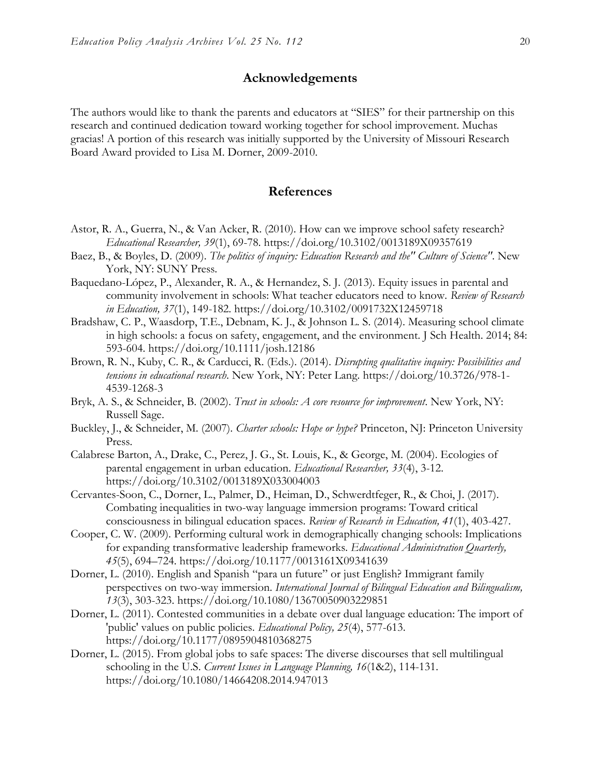# **Acknowledgements**

The authors would like to thank the parents and educators at "SIES" for their partnership on this research and continued dedication toward working together for school improvement. Muchas gracias! A portion of this research was initially supported by the University of Missouri Research Board Award provided to Lisa M. Dorner, 2009-2010.

# **References**

- Astor, R. A., Guerra, N., & Van Acker, R. (2010). How can we improve school safety research? *Educational Researcher, 39*(1), 69-78. https://doi.org/10.3102/0013189X09357619
- Baez, B., & Boyles, D. (2009). *The politics of inquiry: Education Research and the" Culture of Science"*. New York, NY: SUNY Press.
- Baquedano-López, P., Alexander, R. A., & Hernandez, S. J. (2013). Equity issues in parental and community involvement in schools: What teacher educators need to know. *Review of Research in Education, 37*(1), 149-182. https://doi.org/10.3102/0091732X12459718
- Bradshaw, C. P., Waasdorp, T.E., Debnam, K. J., & Johnson L. S. (2014). Measuring school climate in high schools: a focus on safety, engagement, and the environment. J Sch Health. 2014; 84: 593-604. https://doi.org/10.1111/josh.12186
- Brown, R. N., Kuby, C. R., & Carducci, R. (Eds.). (2014). *Disrupting qualitative inquiry: Possibilities and tensions in educational research*. New York, NY: Peter Lang. https://doi.org/10.3726/978-1- 4539-1268-3
- Bryk, A. S., & Schneider, B. (2002). *Trust in schools: A core resource for improvement*. New York, NY: Russell Sage.
- Buckley, J., & Schneider, M. (2007). *Charter schools: Hope or hype?* Princeton, NJ: Princeton University Press.
- Calabrese Barton, A., Drake, C., Perez, J. G., St. Louis, K., & George, M. (2004). Ecologies of parental engagement in urban education. *Educational Researcher, 33*(4), 3-12. https://doi.org/10.3102/0013189X033004003
- Cervantes-Soon, C., Dorner, L., Palmer, D., Heiman, D., Schwerdtfeger, R., & Choi, J. (2017). Combating inequalities in two-way language immersion programs: Toward critical consciousness in bilingual education spaces. *Review of Research in Education, 41*(1), 403-427.
- Cooper, C. W. (2009). Performing cultural work in demographically changing schools: Implications for expanding transformative leadership frameworks. *Educational Administration Quarterly, 45*(5), 694–724. https://doi.org/10.1177/0013161X09341639
- Dorner, L. (2010). English and Spanish "para un future" or just English? Immigrant family perspectives on two-way immersion. *International Journal of Bilingual Education and Bilingualism, 13*(3), 303-323. https://doi.org/10.1080/13670050903229851
- Dorner, L. (2011). Contested communities in a debate over dual language education: The import of 'public' values on public policies. *Educational Policy, 25*(4), 577-613. https://doi.org/10.1177/0895904810368275
- Dorner, L. (2015). From global jobs to safe spaces: The diverse discourses that sell multilingual schooling in the U.S. *Current Issues in Language Planning, 16*(1&2), 114-131. https://doi.org/10.1080/14664208.2014.947013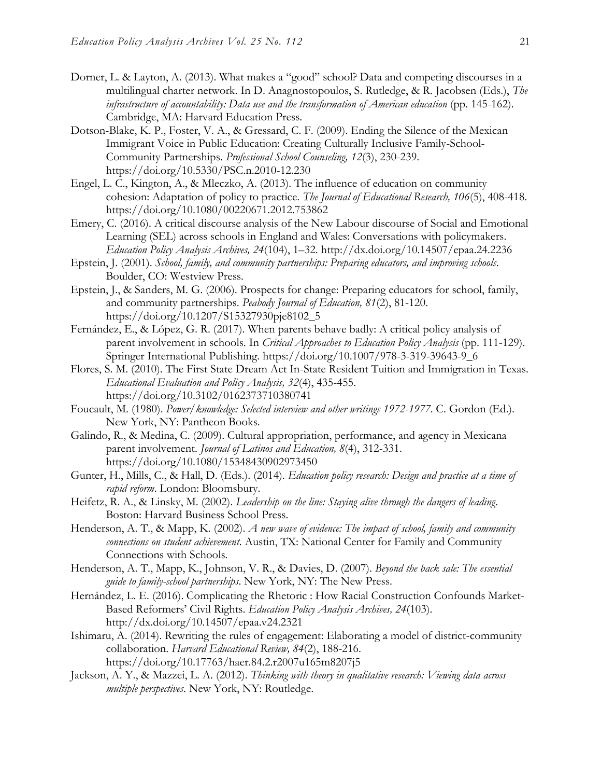- Dorner, L. & Layton, A. (2013). What makes a "good" school? Data and competing discourses in a multilingual charter network. In D. Anagnostopoulos, S. Rutledge, & R. Jacobsen (Eds.), *The infrastructure of accountability: Data use and the transformation of American education* (pp. 145-162). Cambridge, MA: Harvard Education Press.
- Dotson-Blake, K. P., Foster, V. A., & Gressard, C. F. (2009). Ending the Silence of the Mexican Immigrant Voice in Public Education: Creating Culturally Inclusive Family-School-Community Partnerships. *Professional School Counseling, 12*(3), 230-239. https://doi.org/10.5330/PSC.n.2010-12.230
- Engel, L. C., Kington, A., & Mleczko, A. (2013). The influence of education on community cohesion: Adaptation of policy to practice. *The Journal of Educational Research, 106*(5), 408-418. https://doi.org/10.1080/00220671.2012.753862
- Emery, C. (2016). A critical discourse analysis of the New Labour discourse of Social and Emotional Learning (SEL) across schools in England and Wales: Conversations with policymakers. *Education Policy Analysis Archives, 24*(104), 1–32. http://dx.doi.org/10.14507/epaa.24.2236
- Epstein, J. (2001). *School, family, and community partnerships: Preparing educators, and improving schools*. Boulder, CO: Westview Press.
- Epstein, J., & Sanders, M. G. (2006). Prospects for change: Preparing educators for school, family, and community partnerships. *Peabody Journal of Education, 81*(2), 81-120. https://doi.org/10.1207/S15327930pje8102\_5
- Fernández, E., & López, G. R. (2017). When parents behave badly: A critical policy analysis of parent involvement in schools. In *Critical Approaches to Education Policy Analysis* (pp. 111-129). Springer International Publishing. https://doi.org/10.1007/978-3-319-39643-9\_6
- Flores, S. M. (2010). The First State Dream Act In-State Resident Tuition and Immigration in Texas. *Educational Evaluation and Policy Analysis, 32*(4), 435-455. https://doi.org/10.3102/0162373710380741
- Foucault, M. (1980). *Power/knowledge: Selected interview and other writings 1972-1977*. C. Gordon (Ed.). New York, NY: Pantheon Books.
- Galindo, R., & Medina, C. (2009). Cultural appropriation, performance, and agency in Mexicana parent involvement. *Journal of Latinos and Education, 8*(4), 312-331. https://doi.org/10.1080/15348430902973450
- Gunter, H., Mills, C., & Hall, D. (Eds.). (2014). *Education policy research: Design and practice at a time of rapid reform*. London: Bloomsbury.
- Heifetz, R. A., & Linsky, M. (2002). *Leadership on the line: Staying alive through the dangers of leading*. Boston: Harvard Business School Press.
- Henderson, A. T., & Mapp, K. (2002). *A new wave of evidence: The impact of school, family and community connections on student achievement*. Austin, TX: National Center for Family and Community Connections with Schools.
- Henderson, A. T., Mapp, K., Johnson, V. R., & Davies, D. (2007). *Beyond the back sale: The essential guide to family-school partnerships*. New York, NY: The New Press.
- Hernández, L. E. (2016). Complicating the Rhetoric : How Racial Construction Confounds Market-Based Reformers' Civil Rights. *Education Policy Analysis Archives, 24*(103). http://dx.doi.org/10.14507/epaa.v24.2321
- Ishimaru, A. (2014). Rewriting the rules of engagement: Elaborating a model of district-community collaboration. *Harvard Educational Review, 84*(2), 188-216. https://doi.org/10.17763/haer.84.2.r2007u165m8207j5
- Jackson, A. Y., & Mazzei, L. A. (2012). *Thinking with theory in qualitative research: Viewing data across multiple perspectives*. New York, NY: Routledge.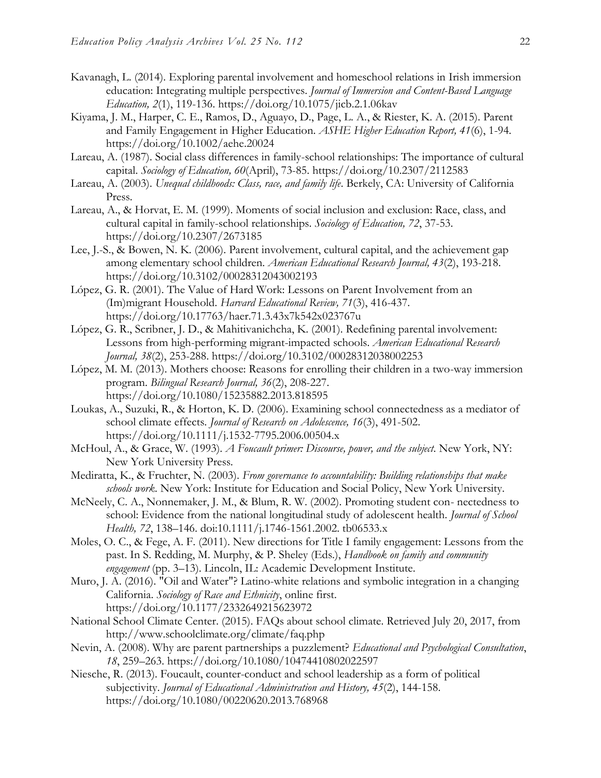- Kavanagh, L. (2014). Exploring parental involvement and homeschool relations in Irish immersion education: Integrating multiple perspectives. *Journal of Immersion and Content-Based Language Education, 2*(1), 119-136. https://doi.org/10.1075/jicb.2.1.06kav
- Kiyama, J. M., Harper, C. E., Ramos, D., Aguayo, D., Page, L. A., & Riester, K. A. (2015). Parent and Family Engagement in Higher Education. *ASHE Higher Education Report, 41*(6), 1-94. https://doi.org/10.1002/aehe.20024
- Lareau, A. (1987). Social class differences in family-school relationships: The importance of cultural capital. *Sociology of Education, 60*(April), 73-85. https://doi.org/10.2307/2112583
- Lareau, A. (2003). *Unequal childhoods: Class, race, and family life*. Berkely, CA: University of California Press.
- Lareau, A., & Horvat, E. M. (1999). Moments of social inclusion and exclusion: Race, class, and cultural capital in family-school relationships. *Sociology of Education, 72*, 37-53. https://doi.org/10.2307/2673185
- Lee, J.-S., & Bowen, N. K. (2006). Parent involvement, cultural capital, and the achievement gap among elementary school children. *American Educational Research Journal, 43*(2), 193-218. https://doi.org/10.3102/00028312043002193
- López, G. R. (2001). The Value of Hard Work: Lessons on Parent Involvement from an (Im)migrant Household. *Harvard Educational Review, 71*(3), 416-437. https://doi.org/10.17763/haer.71.3.43x7k542x023767u
- López, G. R., Scribner, J. D., & Mahitivanichcha, K. (2001). Redefining parental involvement: Lessons from high-performing migrant-impacted schools. *American Educational Research Journal, 38*(2), 253-288. https://doi.org/10.3102/00028312038002253
- López, M. M. (2013). Mothers choose: Reasons for enrolling their children in a two-way immersion program. *Bilingual Research Journal, 36*(2), 208-227. https://doi.org/10.1080/15235882.2013.818595
- Loukas, A., Suzuki, R., & Horton, K. D. (2006). Examining school connectedness as a mediator of school climate effects. *Journal of Research on Adolescence, 16*(3), 491-502. https://doi.org/10.1111/j.1532-7795.2006.00504.x
- McHoul, A., & Grace, W. (1993). *A Foucault primer: Discourse, power, and the subject*. New York, NY: New York University Press.
- Mediratta, K., & Fruchter, N. (2003). *From governance to accountability: Building relationships that make schools work*. New York: Institute for Education and Social Policy, New York University.
- McNeely, C. A., Nonnemaker, J. M., & Blum, R. W. (2002). Promoting student con- nectedness to school: Evidence from the national longitudinal study of adolescent health. *Journal of School Health, 72*, 138–146. doi:10.1111/j.1746-1561.2002. tb06533.x
- Moles, O. C., & Fege, A. F. (2011). New directions for Title I family engagement: Lessons from the past. In S. Redding, M. Murphy, & P. Sheley (Eds.), *Handbook on family and community engagement* (pp. 3–13). Lincoln, IL: Academic Development Institute.
- Muro, J. A. (2016). "Oil and Water"? Latino-white relations and symbolic integration in a changing California. *Sociology of Race and Ethnicity*, online first. https://doi.org/10.1177/2332649215623972
- National School Climate Center. (2015). FAQs about school climate. Retrieved July 20, 2017, from http://www.schoolclimate.org/climate/faq.php
- Nevin, A. (2008). Why are parent partnerships a puzzlement? *Educational and Psychological Consultation*, *18*, 259–263. https://doi.org/10.1080/10474410802022597
- Niesche, R. (2013). Foucault, counter-conduct and school leadership as a form of political subjectivity. *Journal of Educational Administration and History, 45*(2), 144-158. https://doi.org/10.1080/00220620.2013.768968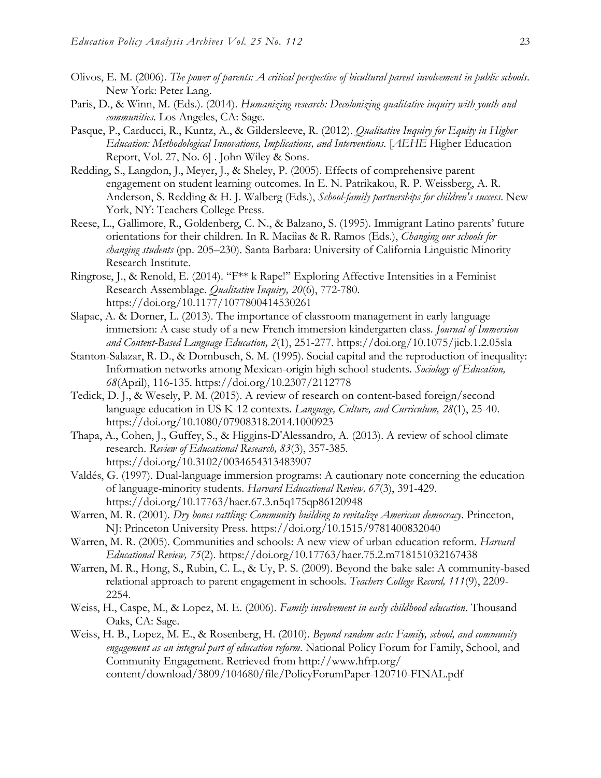- Olivos, E. M. (2006). *The power of parents: A critical perspective of bicultural parent involvement in public schools*. New York: Peter Lang.
- Paris, D., & Winn, M. (Eds.). (2014). *Humanizing research: Decolonizing qualitative inquiry with youth and communities*. Los Angeles, CA: Sage.
- Pasque, P., Carducci, R., Kuntz, A., & Gildersleeve, R. (2012). *Qualitative Inquiry for Equity in Higher Education: Methodological Innovations, Implications, and Interventions.* [*AEHE* Higher Education Report, Vol. 27, No. 6] . John Wiley & Sons.
- Redding, S., Langdon, J., Meyer, J., & Sheley, P. (2005). Effects of comprehensive parent engagement on student learning outcomes. In E. N. Patrikakou, R. P. Weissberg, A. R. Anderson, S. Redding & H. J. Walberg (Eds.), *School-family partnerships for children's success*. New York, NY: Teachers College Press.
- Reese, L., Gallimore, R., Goldenberg, C. N., & Balzano, S. (1995). Immigrant Latino parents' future orientations for their children. In R. Maciìas & R. Ramos (Eds.), *Changing our schools for changing students* (pp. 205–230). Santa Barbara: University of California Linguistic Minority Research Institute.
- Ringrose, J., & Renold, E. (2014). "F\*\* k Rape!" Exploring Affective Intensities in a Feminist Research Assemblage. *Qualitative Inquiry, 20*(6), 772-780. https://doi.org/10.1177/1077800414530261
- Slapac, A. & Dorner, L. (2013). The importance of classroom management in early language immersion: A case study of a new French immersion kindergarten class. *Journal of Immersion and Content-Based Language Education, 2*(1), 251-277. https://doi.org/10.1075/jicb.1.2.05sla
- Stanton-Salazar, R. D., & Dornbusch, S. M. (1995). Social capital and the reproduction of inequality: Information networks among Mexican-origin high school students. *Sociology of Education, 68*(April), 116-135. https://doi.org/10.2307/2112778
- Tedick, D. J., & Wesely, P. M. (2015). A review of research on content-based foreign/second language education in US K-12 contexts. *Language, Culture, and Curriculum, 28*(1), 25-40. https://doi.org/10.1080/07908318.2014.1000923
- Thapa, A., Cohen, J., Guffey, S., & Higgins-D'Alessandro, A. (2013). A review of school climate research. *Review of Educational Research, 83*(3), 357-385. https://doi.org/10.3102/0034654313483907
- Valdés, G. (1997). Dual-language immersion programs: A cautionary note concerning the education of language-minority students. *Harvard Educational Review, 67*(3), 391-429. https://doi.org/10.17763/haer.67.3.n5q175qp86120948
- Warren, M. R. (2001). *Dry bones rattling: Community building to revitalize American democracy*. Princeton, NJ: Princeton University Press. https://doi.org/10.1515/9781400832040
- Warren, M. R. (2005). Communities and schools: A new view of urban education reform. *Harvard Educational Review, 75*(2). https://doi.org/10.17763/haer.75.2.m718151032167438
- Warren, M. R., Hong, S., Rubin, C. L., & Uy, P. S. (2009). Beyond the bake sale: A community-based relational approach to parent engagement in schools. *Teachers College Record, 111*(9), 2209- 2254.
- Weiss, H., Caspe, M., & Lopez, M. E. (2006). *Family involvement in early childhood education*. Thousand Oaks, CA: Sage.
- Weiss, H. B., Lopez, M. E., & Rosenberg, H. (2010). *Beyond random acts: Family, school, and community engagement as an integral part of education reform*. National Policy Forum for Family, School, and Community Engagement. Retrieved from http://www.hfrp.org/ content/download/3809/104680/file/PolicyForumPaper-120710-FINAL.pdf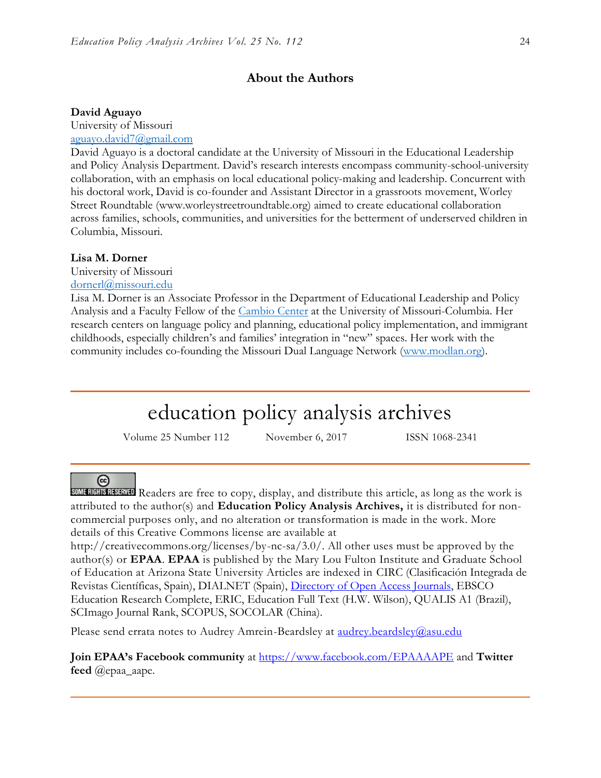# **About the Authors**

#### **David Aguayo**

University of Missouri [aguayo.david7@gmail.com](mailto:aguayo.david7@gmail.com)

David Aguayo is a doctoral candidate at the University of Missouri in the Educational Leadership and Policy Analysis Department. David's research interests encompass community-school-university collaboration, with an emphasis on local educational policy-making and leadership. Concurrent with his doctoral work, David is co-founder and Assistant Director in a grassroots movement, Worley Street Roundtable (www.worleystreetroundtable.org) aimed to create educational collaboration across families, schools, communities, and universities for the betterment of underserved children in Columbia, Missouri.

#### **Lisa M. Dorner**

University of Missouri

[dornerl@missouri.edu](mailto:dornerl@missouri.edu)

Lisa M. Dorner is an Associate Professor in the Department of Educational Leadership and Policy Analysis and a Faculty Fellow of the [Cambio Center](http://www.cambio.missouri.edu/) at the University of Missouri-Columbia. Her research centers on language policy and planning, educational policy implementation, and immigrant childhoods, especially children's and families' integration in "new" spaces. Her work with the community includes co-founding the Missouri Dual Language Network [\(www.modlan.org\)](http://www.modlan.org/).

# education policy analysis archives

Volume 25 Number 112 November 6, 2017 ISSN 1068-2341

### ര

SOME RIGHTS RESERVED Readers are free to copy, display, and distribute this article, as long as the work is attributed to the author(s) and **Education Policy Analysis Archives,** it is distributed for noncommercial purposes only, and no alteration or transformation is made in the work. More details of this Creative Commons license are available at

http://creativecommons.org/licenses/by-nc-sa/3.0/. All other uses must be approved by the author(s) or **EPAA**. **EPAA** is published by the Mary Lou Fulton Institute and Graduate School of Education at Arizona State University Articles are indexed in CIRC (Clasificación Integrada de Revistas Científicas, Spain), DIALNET (Spain), [Directory of Open Access Journals,](http://www.doaj.org/) EBSCO Education Research Complete, ERIC, Education Full Text (H.W. Wilson), QUALIS A1 (Brazil), SCImago Journal Rank, SCOPUS, SOCOLAR (China).

Please send errata notes to Audrey Amrein-Beardsley at audrey.beardsley@asu.edu

**Join EPAA's Facebook community** at<https://www.facebook.com/EPAAAAPE> and **Twitter feed** @epaa\_aape.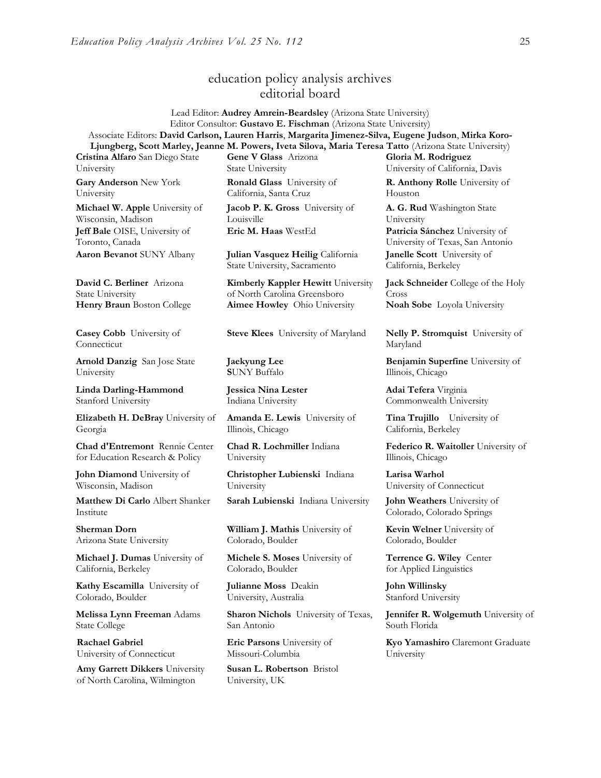# education policy analysis archives editorial board

Lead Editor: **Audrey Amrein-Beardsley** (Arizona State University) Editor Consultor: **Gustavo E. Fischman** (Arizona State University) Associate Editors: **David Carlson, Lauren Harris**, **Margarita Jimenez-Silva, Eugene Judson**, **Mirka Koro-Ljungberg, Scott Marley, Jeanne M. Powers, Iveta Silova, Maria Teresa Tatto** (Arizona State University)

**Cristina Alfaro** San Diego State University

**Gary Anderson** New York University

**Michael W. Apple** University of Wisconsin, Madison **Jeff Bale** OISE, University of Toronto, Canada

**David C. Berliner** Arizona State University

**Casey Cobb** University of Connecticut

**Arnold Danzig** San Jose State University

**Linda Darling-Hammond**  Stanford University

**Elizabeth H. DeBray** University of Georgia

**Chad d'Entremont** Rennie Center for Education Research & Policy

**John Diamond** University of Wisconsin, Madison

**Matthew Di Carlo** Albert Shanker Institute

**Sherman Dorn** Arizona State University

**Michael J. Dumas** University of California, Berkeley

**Kathy Escamilla** University of Colorado, Boulder

**Melissa Lynn Freeman** Adams State College

**Rachael Gabriel** University of Connecticut

**Amy Garrett Dikkers** University of North Carolina, Wilmington

**Gene V Glass** Arizona State University

**Ronald Glass** University of California, Santa Cruz

**Jacob P. K. Gross** University of Louisville

**Aaron Bevanot** SUNY Albany **Julian Vasquez Heilig** California State University, Sacramento

**Kimberly Kappler Hewitt** University of North Carolina Greensboro **Henry Braun** Boston College **Aimee Howley** Ohio University **Noah Sobe** Loyola University

**Steve Klees** University of Maryland **Nelly P. Stromquist** University of

**Jaekyung Lee S**UNY Buffalo

**Jessica Nina Lester** Indiana University

**Amanda E. Lewis** University of Illinois, Chicago

**Chad R. Lochmiller** Indiana University

**Christopher Lubienski** Indiana University

**Sarah Lubienski** Indiana University **John Weathers** University of

**William J. Mathis** University of Colorado, Boulder

**Michele S. Moses** University of Colorado, Boulder

**Julianne Moss** Deakin University, Australia

**Sharon Nichols** University of Texas, San Antonio

**Eric Parsons** University of Missouri-Columbia

**Susan L. Robertson** Bristol University, UK

**Gloria M. Rodriguez** University of California, Davis

**R. Anthony Rolle** University of Houston

**A. G. Rud** Washington State University **Eric M. Haas** WestEd **Patricia Sánchez** University of University of Texas, San Antonio **Janelle Scott** University of California, Berkeley

> **Jack Schneider** College of the Holy Cross

Maryland

**Benjamin Superfine** University of Illinois, Chicago

**Adai Tefera** Virginia Commonwealth University

**Tina Trujillo** University of California, Berkeley

**Federico R. Waitoller** University of Illinois, Chicago

**Larisa Warhol** University of Connecticut

Colorado, Colorado Springs

**Kevin Welner** University of Colorado, Boulder

**Terrence G. Wiley** Center for Applied Linguistics

**John Willinsky**  Stanford University

**Jennifer R. Wolgemuth** University of South Florida

**Kyo Yamashiro** Claremont Graduate University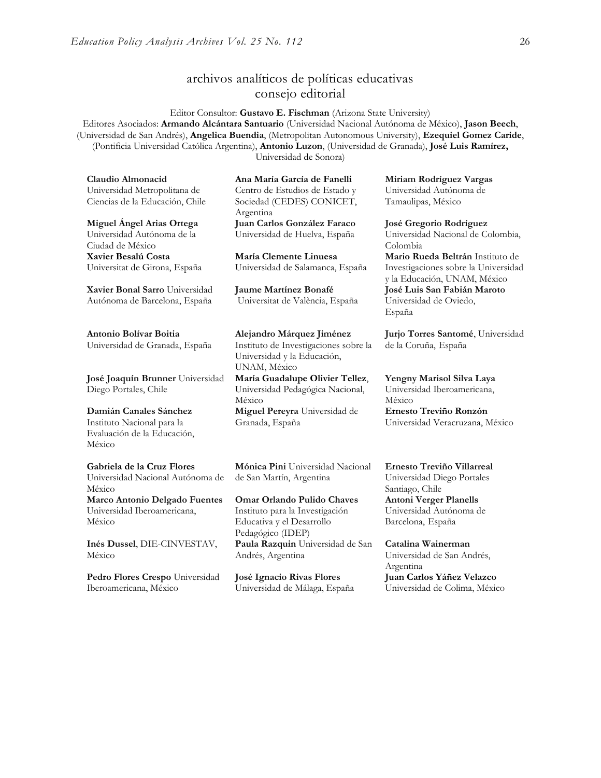# archivos analíticos de políticas educativas consejo editorial

Editor Consultor: **Gustavo E. Fischman** (Arizona State University) Editores Asociados: **Armando Alcántara Santuario** (Universidad Nacional Autónoma de México), **Jason Beech**, (Universidad de San Andrés), **Angelica Buendia**, (Metropolitan Autonomous University), **Ezequiel Gomez Caride**, (Pontificia Universidad Católica Argentina), **Antonio Luzon**, (Universidad de Granada), **José Luis Ramírez,** Universidad de Sonora)

**Claudio Almonacid** Universidad Metropolitana de Ciencias de la Educación, Chile

**Miguel Ángel Arias Ortega**  Universidad Autónoma de la

Ciudad de México **Xavier Besalú Costa**  Universitat de Girona, España

**[Xavier Bonal](javascript:openRTWindow() Sarro** Universidad Autónoma de Barcelona, España

**[Antonio Bolívar](javascript:openRTWindow() Boitia** Universidad de Granada, España

**[José Joaquín Brunner](javascript:openRTWindow()** Universidad Diego Portales, Chile

**[Damián Canales Sánchez](javascript:openRTWindow()** Instituto Nacional para la Evaluación de la Educación, México

**Gabriela de la Cruz Flores** Universidad Nacional Autónoma de México **[Marco Antonio Delgado Fuentes](javascript:openRTWindow()** Universidad Iberoamericana,

**[Inés Dussel](javascript:openRTWindow()**, DIE-CINVESTAV, México

México

**[Pedro Flores Crespo](javascript:openRTWindow()** Universidad Iberoamericana, México

**Ana María García de Fanelli**  Centro de Estudios de Estado y Sociedad (CEDES) CONICET, Argentina **Juan Carlos González Faraco**  Universidad de Huelva, España

**María Clemente Linuesa**  Universidad de Salamanca, España

**Jaume Martínez Bonafé** Universitat de València, España

**Alejandro Márquez Jiménez**  Instituto de Investigaciones sobre la Universidad y la Educación, UNAM, México

**María Guadalupe Olivier Tellez**, Universidad Pedagógica Nacional, México **[Miguel Pereyra](javascript:openRTWindow()** Universidad de

Granada, España

**[Mónica Pini](javascript:openRTWindow()** Universidad Nacional de San Martín, Argentina

**Omar Orlando Pulido Chaves** Instituto para la Investigación Educativa y el Desarrollo Pedagógico (IDEP) **[Paula Razquin](javascript:openRTWindow()** Universidad de San Andrés, Argentina

**José Ignacio Rivas Flores** Universidad de Málaga, España **[Miriam Rodríguez Vargas](javascript:openRTWindow()** Universidad Autónoma de Tamaulipas, México

**José Gregorio Rodríguez**  Universidad Nacional de Colombia, Colombia

**[Mario Rueda Beltrán](javascript:openRTWindow()** Instituto de Investigaciones sobre la Universidad y la Educación, UNAM, México **José Luis San Fabián Maroto**  Universidad de Oviedo, España

**[Jurjo Torres Santomé](javascript:openRTWindow()**, Universidad de la Coruña, España

**[Yengny Marisol Silva Laya](javascript:openRTWindow()** Universidad Iberoamericana, México

**Ernesto Treviño Ronzón** Universidad Veracruzana, México

**[Ernesto Treviño](javascript:openRTWindow() Villarreal** Universidad Diego Portales Santiago, Chile **[Antoni Verger Planells](javascript:openRTWindow()** Universidad Autónoma de Barcelona, España

**[Catalina Wainerman](javascript:openRTWindow()** Universidad de San Andrés, Argentina **Juan Carlos Yáñez Velazco** Universidad de Colima, México